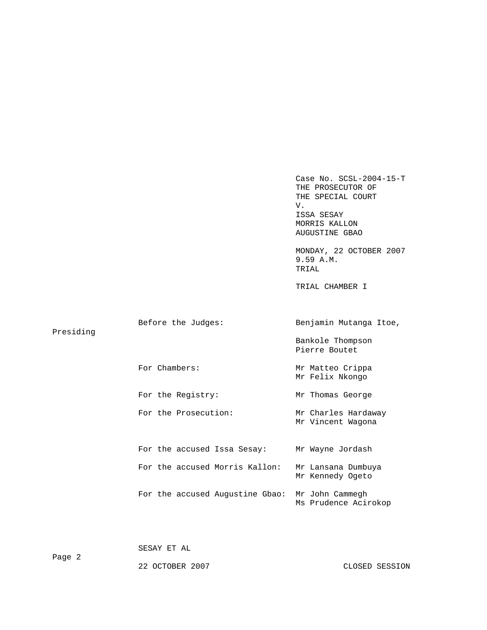Case No. SCSL-2004-15-T THE PROSECUTOR OF THE SPECIAL COURT V. ISSA SESAY MORRIS KALLON AUGUSTINE GBAO MONDAY, 22 OCTOBER 2007 9.59 A.M. TRIAL TRIAL CHAMBER I Before the Judges: Benjamin Mutanga Itoe, Presiding Bankole Thompson Pierre Boutet For Chambers: Mr Matteo Crippa Mr Felix Nkongo For the Registry: Mr Thomas George For the Prosecution: Mr Charles Hardaway Mr Vincent Wagona For the accused Issa Sesay: Mr Wayne Jordash For the accused Morris Kallon: Mr Lansana Dumbuya Mr Kennedy Ogeto For the accused Augustine Gbao: Mr John Cammegh Ms Prudence Acirokop

SESAY ET AL

22 OCTOBER 2007 CLOSED SESSION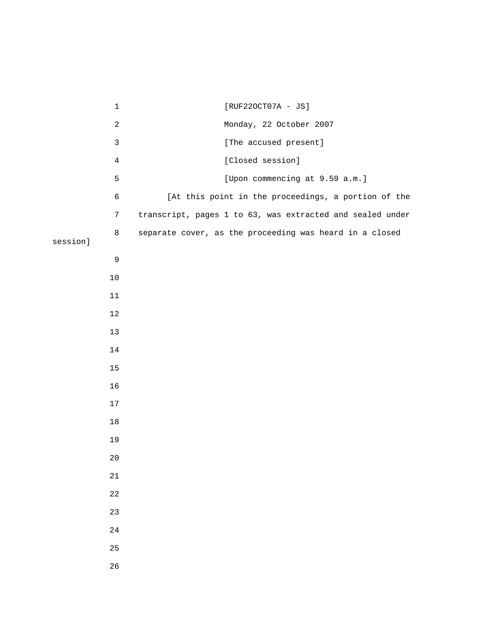|          | $\mathbf 1$         | [RUF220CT07A - JS]                                        |
|----------|---------------------|-----------------------------------------------------------|
|          | $\overline{c}$      | Monday, 22 October 2007                                   |
|          | $\mathbf{3}$        | [The accused present]                                     |
|          | $\overline{4}$      | [Closed session]                                          |
|          | 5                   | [Upon commencing at 9.59 a.m.]                            |
|          | 6                   | [At this point in the proceedings, a portion of the       |
|          | $\boldsymbol{7}$    | transcript, pages 1 to 63, was extracted and sealed under |
|          | $\,8\,$             | separate cover, as the proceeding was heard in a closed   |
| session] |                     |                                                           |
|          | $\mathsf 9$<br>$10$ |                                                           |
|          | 11                  |                                                           |
|          | 12                  |                                                           |
|          | $13$                |                                                           |
|          | 14                  |                                                           |
|          | 15                  |                                                           |
|          | 16                  |                                                           |
|          | 17                  |                                                           |
|          | $18\,$              |                                                           |
|          | 19                  |                                                           |
|          | $20$                |                                                           |
|          | 21                  |                                                           |
|          | $2\sqrt{2}$         |                                                           |
|          | 23                  |                                                           |
|          | 24                  |                                                           |
|          | 25                  |                                                           |
|          | 26                  |                                                           |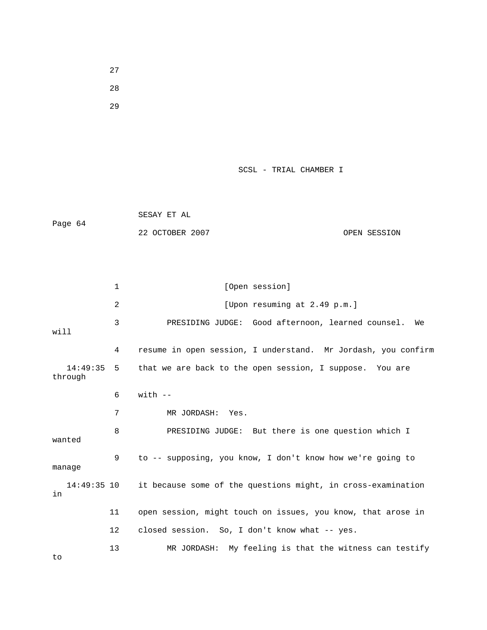27 28

29

SCSL - TRIAL CHAMBER I

 SESAY ET AL Page 64 22 OCTOBER 2007 OPEN SESSION

1 [Open session] 2 [Upon resuming at 2.49 p.m.] 3 PRESIDING JUDGE: Good afternoon, learned counsel. We will 4 resume in open session, I understand. Mr Jordash, you confirm 14:49:35 5 that we are back to the open session, I suppose. You are through  $6$  with  $-$  7 MR JORDASH: Yes. 8 PRESIDING JUDGE: But there is one question which I wanted 9 to -- supposing, you know, I don't know how we're going to manage 14:49:35 10 it because some of the questions might, in cross-examination in 11 open session, might touch on issues, you know, that arose in 12 closed session. So, I don't know what -- yes. 13 MR JORDASH: My feeling is that the witness can testify to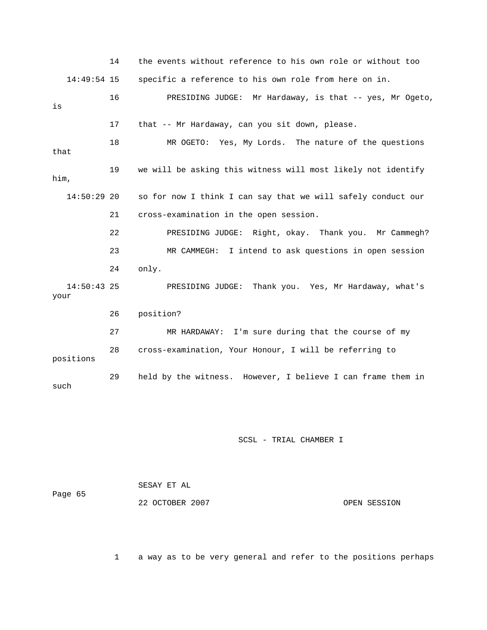|                       | 14 | the events without reference to his own role or without too  |
|-----------------------|----|--------------------------------------------------------------|
| $14:49:54$ 15         |    | specific a reference to his own role from here on in.        |
| is                    | 16 | PRESIDING JUDGE: Mr Hardaway, is that -- yes, Mr Ogeto,      |
|                       | 17 | that -- Mr Hardaway, can you sit down, please.               |
| that                  | 18 | MR OGETO: Yes, My Lords. The nature of the questions         |
| him,                  | 19 | we will be asking this witness will most likely not identify |
| $14:50:29$ 20         |    | so for now I think I can say that we will safely conduct our |
|                       | 21 | cross-examination in the open session.                       |
|                       | 22 | PRESIDING JUDGE: Right, okay. Thank you. Mr Cammegh?         |
|                       | 23 | I intend to ask questions in open session<br>MR CAMMEGH:     |
|                       | 24 | only.                                                        |
| $14:50:43$ 25<br>your |    | PRESIDING JUDGE: Thank you. Yes, Mr Hardaway, what's         |
|                       | 26 | position?                                                    |
|                       | 27 | MR HARDAWAY: I'm sure during that the course of my           |
| positions             | 28 | cross-examination, Your Honour, I will be referring to       |
| such                  | 29 | held by the witness. However, I believe I can frame them in  |

| Page 65 | SESAY ET AL     |              |
|---------|-----------------|--------------|
|         | 22 OCTOBER 2007 | OPEN SESSION |

1 a way as to be very general and refer to the positions perhaps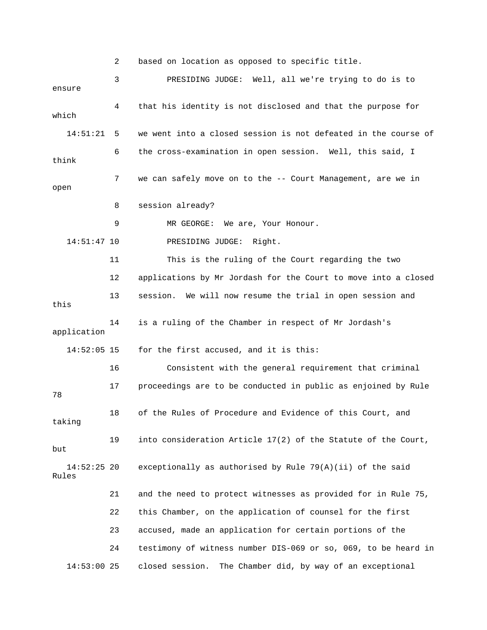2 based on location as opposed to specific title. 3 PRESIDING JUDGE: Well, all we're trying to do is to ensure 4 that his identity is not disclosed and that the purpose for which 14:51:21 5 we went into a closed session is not defeated in the course of 6 the cross-examination in open session. Well, this said, I think 7 we can safely move on to the -- Court Management, are we in open 8 session already? 9 MR GEORGE: We are, Your Honour. 14:51:47 10 PRESIDING JUDGE: Right. 11 This is the ruling of the Court regarding the two 12 applications by Mr Jordash for the Court to move into a closed 13 session. We will now resume the trial in open session and this 14 is a ruling of the Chamber in respect of Mr Jordash's application 14:52:05 15 for the first accused, and it is this: 16 Consistent with the general requirement that criminal 17 proceedings are to be conducted in public as enjoined by Rule 78 18 of the Rules of Procedure and Evidence of this Court, and taking 19 into consideration Article 17(2) of the Statute of the Court, but 14:52:25 20 exceptionally as authorised by Rule 79(A)(ii) of the said Rules 21 and the need to protect witnesses as provided for in Rule 75, 22 this Chamber, on the application of counsel for the first 23 accused, made an application for certain portions of the 24 testimony of witness number DIS-069 or so, 069, to be heard in 14:53:00 25 closed session. The Chamber did, by way of an exceptional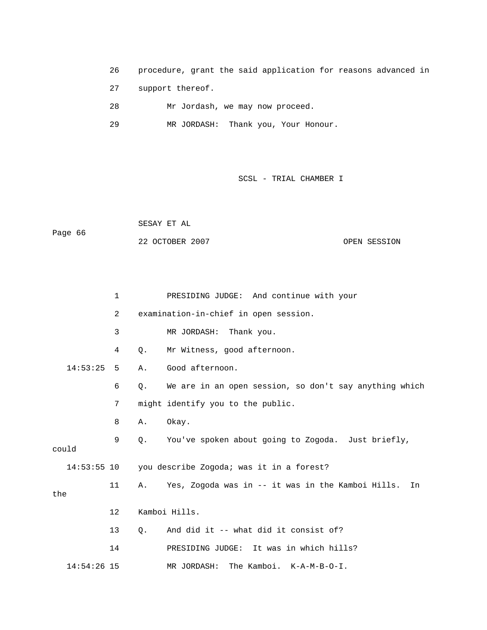26 procedure, grant the said application for reasons advanced in

27 support thereof.

- 28 Mr Jordash, we may now proceed.
- 29 MR JORDASH: Thank you, Your Honour.

SCSL - TRIAL CHAMBER I

 SESAY ET AL Page 66

22 OCTOBER 2007 CPEN SESSION

|       |               | $\mathbf 1$ |    | PRESIDING JUDGE: And continue with your                 |
|-------|---------------|-------------|----|---------------------------------------------------------|
|       |               | 2           |    | examination-in-chief in open session.                   |
|       |               | 3           |    | MR JORDASH: Thank you.                                  |
|       |               | 4           | Q. | Mr Witness, good afternoon.                             |
|       | 14:53:25      | 5           | Α. | Good afternoon.                                         |
|       |               | 6           | О. | We are in an open session, so don't say anything which  |
|       |               | 7           |    | might identify you to the public.                       |
|       |               | 8           | Α. | Okay.                                                   |
| could |               | 9           | Q. | You've spoken about going to Zogoda. Just briefly,      |
|       |               |             |    | 14:53:55 10 you describe Zogoda; was it in a forest?    |
| the   |               | 11          | Α. | Yes, Zogoda was in -- it was in the Kamboi Hills.<br>In |
|       |               | 12          |    | Kamboi Hills.                                           |
|       |               | 13          | 0. | And did it -- what did it consist of?                   |
|       |               | 14          |    | PRESIDING JUDGE: It was in which hills?                 |
|       | $14:54:26$ 15 |             |    | The Kamboi. K-A-M-B-O-I.<br>MR JORDASH:                 |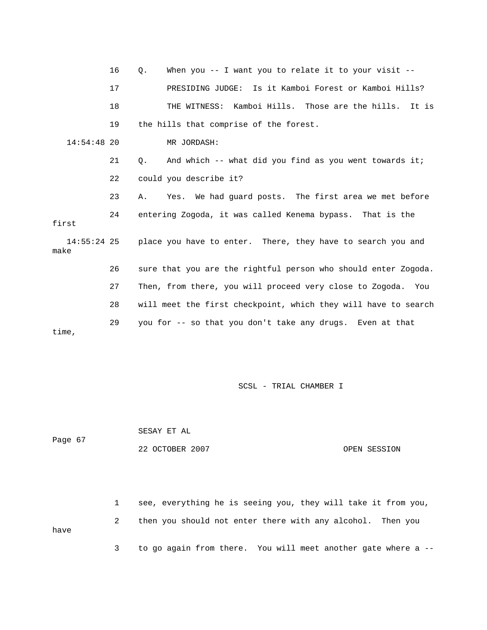|                     | 16 | When you $-$ - I want you to relate it to your visit $-$ -<br>Q.    |
|---------------------|----|---------------------------------------------------------------------|
|                     | 17 | PRESIDING JUDGE: Is it Kamboi Forest or Kamboi Hills?               |
|                     | 18 | THE WITNESS: Kamboi Hills. Those are the hills. It is               |
|                     | 19 | the hills that comprise of the forest.                              |
| $14:54:48$ 20       |    | MR JORDASH:                                                         |
|                     | 21 | And which -- what did you find as you went towards it;<br>$\circ$ . |
|                     | 22 | could you describe it?                                              |
|                     | 23 | Yes. We had quard posts. The first area we met before<br>Α.         |
| first               | 24 | entering Zogoda, it was called Kenema bypass. That is the           |
| 14:55:24 25<br>make |    | place you have to enter. There, they have to search you and         |
|                     | 26 | sure that you are the rightful person who should enter Zogoda.      |
|                     | 27 | Then, from there, you will proceed very close to Zogoda. You        |
|                     | 28 | will meet the first checkpoint, which they will have to search      |
| time,               | 29 | you for -- so that you don't take any drugs. Even at that           |

| Page 67 | SESAY ET AL     |              |
|---------|-----------------|--------------|
|         | 22 OCTOBER 2007 | OPEN SESSION |

 1 see, everything he is seeing you, they will take it from you, 2 then you should not enter there with any alcohol. Then you have 3 to go again from there. You will meet another gate where a --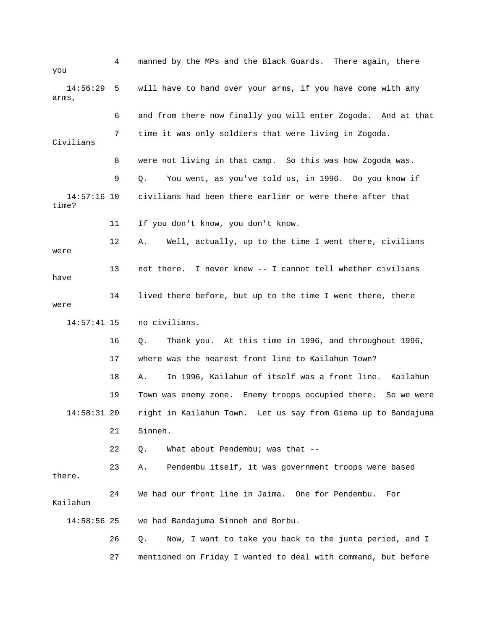| you                    | 4  | manned by the MPs and the Black Guards. There again, there       |
|------------------------|----|------------------------------------------------------------------|
| 14:56:29<br>arms,      | 5  | will have to hand over your arms, if you have come with any      |
|                        | 6  | and from there now finally you will enter Zogoda. And at that    |
| Civilians              | 7  | time it was only soldiers that were living in Zogoda.            |
|                        | 8  | were not living in that camp. So this was how Zogoda was.        |
|                        | 9  | You went, as you've told us, in 1996. Do you know if<br>Q.       |
| $14:57:16$ 10<br>time? |    | civilians had been there earlier or were there after that        |
|                        | 11 | If you don't know, you don't know.                               |
| were                   | 12 | Well, actually, up to the time I went there, civilians<br>Α.     |
| have                   | 13 | not there. I never knew -- I cannot tell whether civilians       |
| were                   | 14 | lived there before, but up to the time I went there, there       |
| $14:57:41$ 15          |    | no civilians.                                                    |
|                        | 16 | Thank you. At this time in 1996, and throughout 1996,<br>Q.      |
|                        | 17 | where was the nearest front line to Kailahun Town?               |
|                        | 18 | In 1996, Kailahun of itself was a front line.<br>Kailahun<br>Α.  |
|                        | 19 | Town was enemy zone. Enemy troops occupied there. So we were     |
| $14:58:31$ 20          |    | right in Kailahun Town. Let us say from Giema up to Bandajuma    |
|                        | 21 | Sinneh.                                                          |
|                        | 22 | What about Pendembu; was that --<br>Q.                           |
| there.                 | 23 | Pendembu itself, it was government troops were based<br>Α.       |
| Kailahun               | 24 | We had our front line in Jaima. One for Pendembu.<br>For         |
| $14:58:56$ 25          |    | we had Bandajuma Sinneh and Borbu.                               |
|                        | 26 | Now, I want to take you back to the junta period, and I<br>$Q$ . |
|                        |    |                                                                  |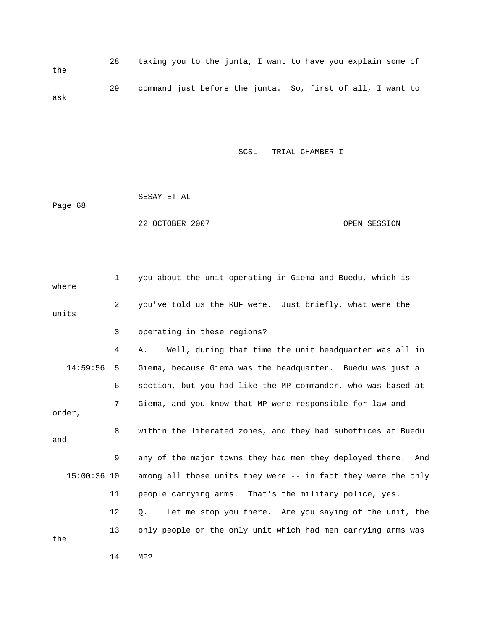28 taking you to the junta, I want to have you explain some of the 29 command just before the junta. So, first of all, I want to ask

SCSL - TRIAL CHAMBER I

SESAY ET AL

Page 68

22 OCTOBER 2007 CPEN SESSION

 1 you about the unit operating in Giema and Buedu, which is 2 you've told us the RUF were. Just briefly, what were the 3 operating in these regions? 4 A. Well, during that time the unit headquarter was all in 6 section, but you had like the MP commander, who was based at 7 Giema, and you know that MP were responsible for law and 8 within the liberated zones, and they had suboffices at Buedu 9 any of the major towns they had men they deployed there. And 11 people carrying arms. That's the military police, yes. 12 Q. Let me stop you there. Are you saying of the unit, the where units 14:59:56 5 Giema, because Giema was the headquarter. Buedu was just a order, and 15:00:36 10 among all those units they were -- in fact they were the only 13 only people or the only unit which had men carrying arms was the

14 MP?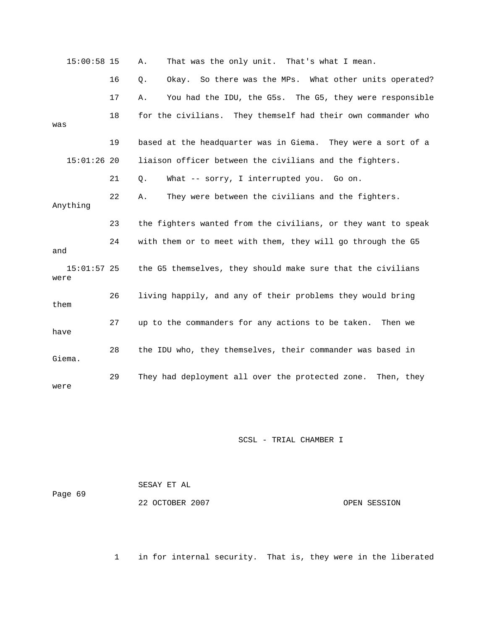| $15:00:58$ 15         |    | That was the only unit. That's what I mean.<br>Α.             |
|-----------------------|----|---------------------------------------------------------------|
|                       | 16 | Okay. So there was the MPs. What other units operated?<br>Q.  |
|                       | 17 | You had the IDU, the G5s. The G5, they were responsible<br>Α. |
| was                   | 18 | for the civilians. They themself had their own commander who  |
|                       | 19 | based at the headquarter was in Giema. They were a sort of a  |
| $15:01:26$ 20         |    | liaison officer between the civilians and the fighters.       |
|                       | 21 | What -- sorry, I interrupted you. Go on.<br>Q.                |
| Anything              | 22 | They were between the civilians and the fighters.<br>Α.       |
|                       | 23 | the fighters wanted from the civilians, or they want to speak |
| and                   | 24 | with them or to meet with them, they will go through the G5   |
| $15:01:57$ 25<br>were |    | the G5 themselves, they should make sure that the civilians   |
| them                  | 26 | living happily, and any of their problems they would bring    |
| have                  | 27 | up to the commanders for any actions to be taken.<br>Then we  |
| Giema.                | 28 | the IDU who, they themselves, their commander was based in    |
| were                  | 29 | They had deployment all over the protected zone. Then, they   |

| Page 69 | SESAY ET AL     |              |  |
|---------|-----------------|--------------|--|
|         | 22 OCTOBER 2007 | OPEN SESSION |  |

1 in for internal security. That is, they were in the liberated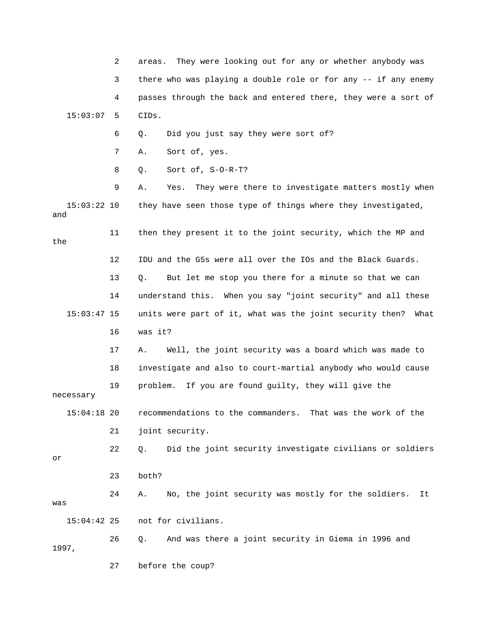2 areas. They were looking out for any or whether anybody was 3 there who was playing a double role or for any -- if any enemy 15:03:07 5 CIDs. 6 Q. Did you just say they were sort of? 4 passes through the back and entered there, they were a sort of

7 A. Sort of, yes.

8 Q. Sort of, S-O-R-T?

 9 A. Yes. They were there to investigate matters mostly when 15:03:22 10 they have seen those type of things where they investigated, and

the

 13 Q. But let me stop you there for a minute so that we can 14 understand this. When you say "joint security" and all these 16 was it? 12 IDU and the G5s were all over the IOs and the Black Guards. 15:03:47 15 units were part of it, what was the joint security then? What

11 then they present it to the joint security, which the MP and

 17 A. Well, the joint security was a board which was made to 19 problem. If you are found guilty, they will give the 18 investigate and also to court-martial anybody who would cause

necessary

 15:04:18 20 recommendations to the commanders. That was the work of the 21 joint security.

22 Q. Did the joint security investigate civilians or soldiers or

23 both?

 24 A. No, the joint security was mostly for the soldiers. It was

15:04:42 25 not for civilians.

 26 Q. And was there a joint security in Giema in 1996 and 1997,

27 before the coup?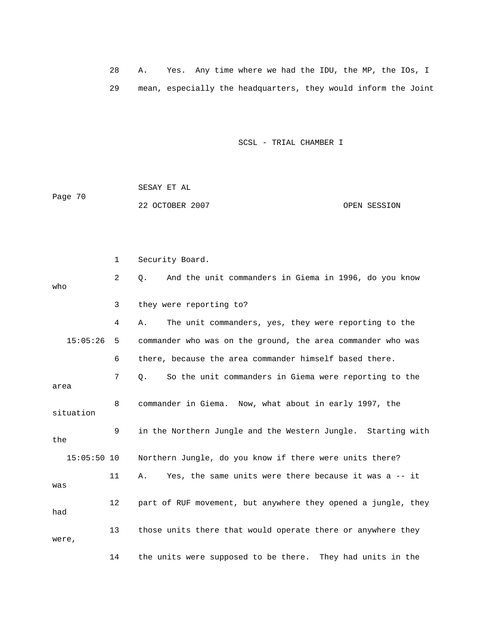28 A. Yes. Any time where we had the IDU, the MP, the IOs, I 29 mean, especially the headquarters, they would inform the Joint

SCSL - TRIAL CHAMBER I

 SESAY ET AL Page 70 22 OCTOBER 2007 OPEN SESSION

 2 Q. And the unit commanders in Giema in 1996, do you know 3 they were reporting to? 4 A. The unit commanders, yes, they were reporting to the 6 there, because the area commander himself based there. 7 Q. So the unit commanders in Giema were reporting to the 8 commander in Giema. Now, what about in early 1997, the 9 in the Northern Jungle and the Western Jungle. Starting with 15:05:50 10 Northern Jungle, do you know if there were units there? 11 A. Yes, the same units were there because it was a -- it 12 part of RUF movement, but anywhere they opened a jungle, they 13 those units there that would operate there or anywhere they 14 the units were supposed to be there. They had units in the 1 Security Board. who 15:05:26 5 commander who was on the ground, the area commander who was area situation the was had were,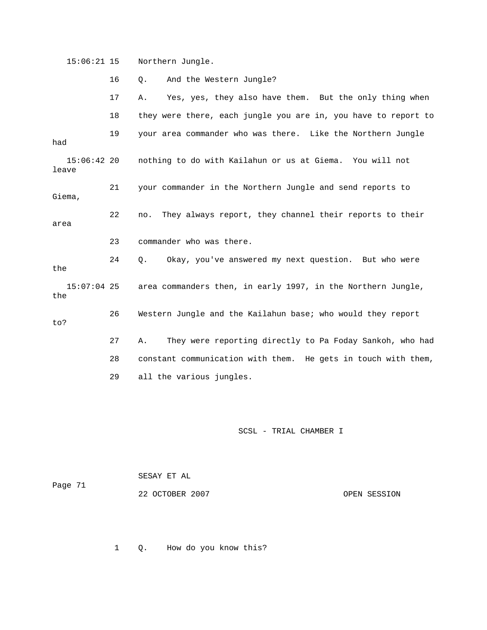15:06:21 15 Northern Jungle.

|                        | 16 | And the Western Jungle?<br>$Q$ .                               |
|------------------------|----|----------------------------------------------------------------|
|                        | 17 | Yes, yes, they also have them. But the only thing when<br>Α.   |
|                        | 18 | they were there, each jungle you are in, you have to report to |
| had                    | 19 | your area commander who was there. Like the Northern Jungle    |
| $15:06:42$ 20<br>leave |    | nothing to do with Kailahun or us at Giema. You will not       |
| Giema,                 | 21 | your commander in the Northern Jungle and send reports to      |
| area                   | 22 | They always report, they channel their reports to their<br>no. |
|                        | 23 | commander who was there.                                       |
|                        |    |                                                                |
| the                    | 24 | Okay, you've answered my next question. But who were<br>Q.     |
| $15:07:04$ 25<br>the   |    | area commanders then, in early 1997, in the Northern Jungle,   |
| to?                    | 26 | Western Jungle and the Kailahun base; who would they report    |
|                        | 27 | They were reporting directly to Pa Foday Sankoh, who had<br>Α. |
|                        | 28 | constant communication with them. He gets in touch with them,  |

SCSL - TRIAL CHAMBER I

 SESAY ET AL Page 71

22 OCTOBER 2007 CPEN SESSION

1 Q. How do you know this?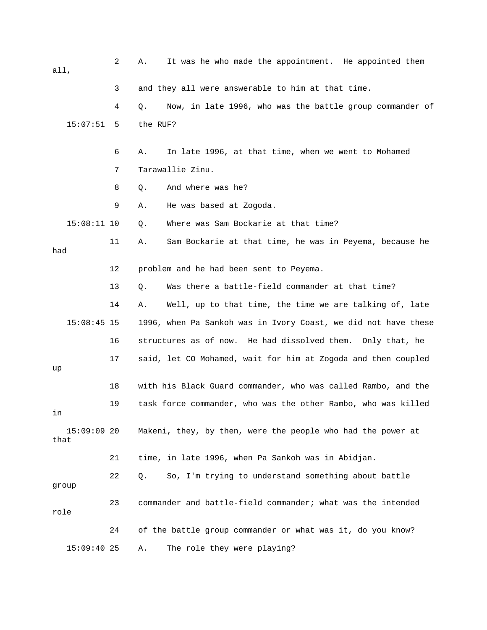| all,  |               | 2  | It was he who made the appointment. He appointed them<br>Α.    |
|-------|---------------|----|----------------------------------------------------------------|
|       |               | 3  | and they all were answerable to him at that time.              |
|       |               | 4  | Now, in late 1996, who was the battle group commander of<br>Q. |
|       | 15:07:51      | 5  | the RUF?                                                       |
|       |               | 6  | In late 1996, at that time, when we went to Mohamed<br>Α.      |
|       |               | 7  | Tarawallie Zinu.                                               |
|       |               | 8  | And where was he?<br>Q.                                        |
|       |               | 9  | He was based at Zogoda.<br>Α.                                  |
|       | $15:08:11$ 10 |    | Where was Sam Bockarie at that time?<br>Q.                     |
| had   |               | 11 | Sam Bockarie at that time, he was in Peyema, because he<br>Α.  |
|       |               | 12 | problem and he had been sent to Peyema.                        |
|       |               | 13 | Was there a battle-field commander at that time?<br>Q.         |
|       |               | 14 | Well, up to that time, the time we are talking of, late<br>Α.  |
|       | $15:08:45$ 15 |    | 1996, when Pa Sankoh was in Ivory Coast, we did not have these |
|       |               | 16 | structures as of now. He had dissolved them. Only that, he     |
| up    |               | 17 | said, let CO Mohamed, wait for him at Zogoda and then coupled  |
|       |               | 18 | with his Black Guard commander, who was called Rambo, and the  |
| in    |               | 19 | task force commander, who was the other Rambo, who was killed  |
| that  | $15:09:09$ 20 |    | Makeni, they, by then, were the people who had the power at    |
|       |               | 21 | time, in late 1996, when Pa Sankoh was in Abidjan.             |
| group |               | 22 | So, I'm trying to understand something about battle<br>Q.      |
| role  |               | 23 | commander and battle-field commander; what was the intended    |
|       |               | 24 | of the battle group commander or what was it, do you know?     |
|       | $15:09:40$ 25 |    | The role they were playing?<br>Α.                              |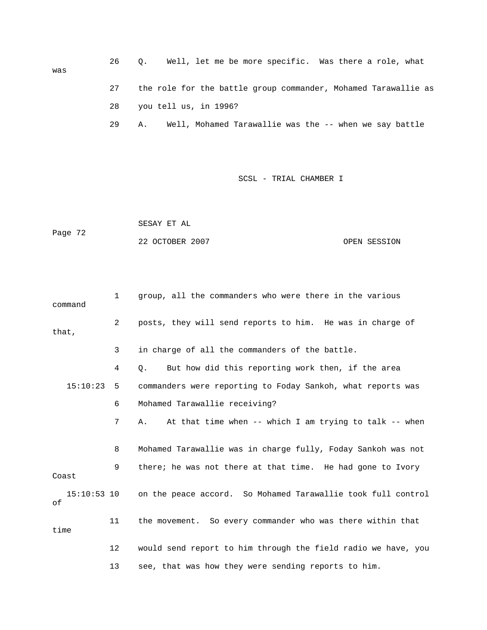| was | 26 | Q. Well, let me be more specific. Was there a role, what       |
|-----|----|----------------------------------------------------------------|
|     | 27 | the role for the battle group commander, Mohamed Tarawallie as |
|     | 28 | you tell us, in 1996?                                          |
|     | 29 | Well, Mohamed Tarawallie was the -- when we say battle<br>Α.   |

 SESAY ET AL Page 72 22 OCTOBER 2007 OPEN SESSION

| command           | $\mathbf{1}$   | group, all the commanders who were there in the various       |
|-------------------|----------------|---------------------------------------------------------------|
| that,             | $\overline{2}$ | posts, they will send reports to him. He was in charge of     |
|                   | 3              | in charge of all the commanders of the battle.                |
|                   | 4              | But how did this reporting work then, if the area<br>О.       |
| 15:10:23          | 5              | commanders were reporting to Foday Sankoh, what reports was   |
|                   | 6              | Mohamed Tarawallie receiving?                                 |
|                   | 7              | At that time when -- which I am trying to talk -- when<br>Α.  |
|                   | 8              | Mohamed Tarawallie was in charge fully, Foday Sankoh was not  |
| Coast             | 9              | there; he was not there at that time. He had gone to Ivory    |
| 15:10:53 10<br>оf |                | on the peace accord. So Mohamed Tarawallie took full control  |
| time              | 11             | the movement. So every commander who was there within that    |
|                   | $12 \,$        | would send report to him through the field radio we have, you |
|                   | 13             | see, that was how they were sending reports to him.           |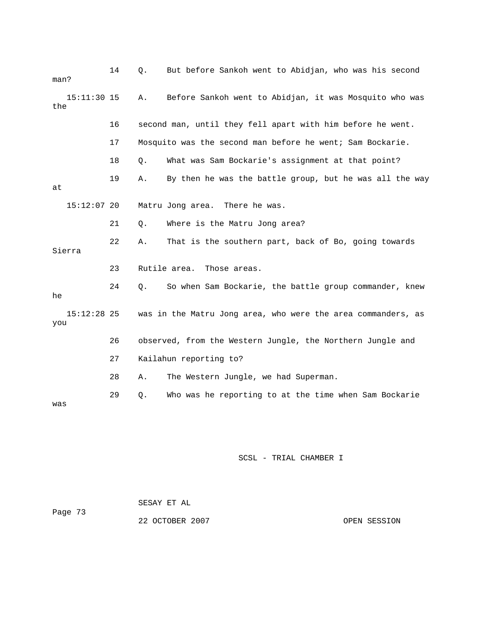| man? |               | 14 | Q. | But before Sankoh went to Abidjan, who was his second        |
|------|---------------|----|----|--------------------------------------------------------------|
| the  | $15:11:30$ 15 |    | Α. | Before Sankoh went to Abidjan, it was Mosquito who was       |
|      |               | 16 |    | second man, until they fell apart with him before he went.   |
|      |               | 17 |    | Mosquito was the second man before he went; Sam Bockarie.    |
|      |               | 18 | Q. | What was Sam Bockarie's assignment at that point?            |
| at   |               | 19 | Α. | By then he was the battle group, but he was all the way      |
|      | $15:12:07$ 20 |    |    | Matru Jong area. There he was.                               |
|      |               | 21 | Q. | Where is the Matru Jong area?                                |
|      | Sierra        | 22 | Α. | That is the southern part, back of Bo, going towards         |
|      |               | 23 |    | Rutile area.<br>Those areas.                                 |
| he   |               | 24 | О. | So when Sam Bockarie, the battle group commander, knew       |
| you  | $15:12:28$ 25 |    |    | was in the Matru Jong area, who were the area commanders, as |
|      |               | 26 |    | observed, from the Western Jungle, the Northern Jungle and   |
|      |               | 27 |    | Kailahun reporting to?                                       |
|      |               | 28 | Α. | The Western Jungle, we had Superman.                         |
| was  |               | 29 | Q. | Who was he reporting to at the time when Sam Bockarie        |

 SESAY ET AL 22 OCTOBER 2007 CPEN SESSION Page 73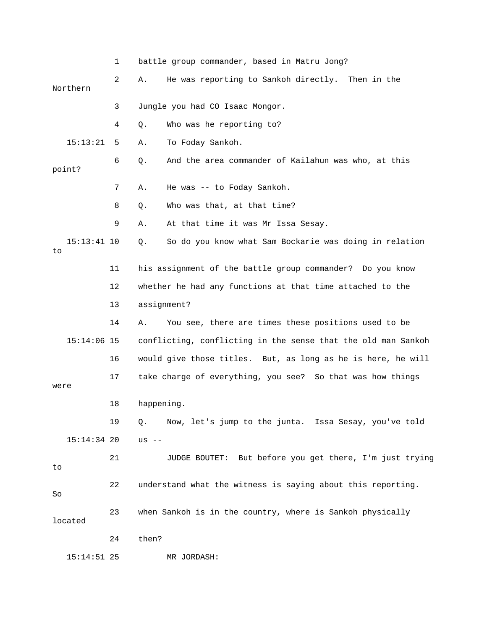1 battle group commander, based in Matru Jong? 2 A. He was reporting to Sankoh directly. Then in the 3 Jungle you had CO Isaac Mongor. 15:13:21 5 A. To Foday Sankoh. 6 Q. And the area commander of Kailahun was who, at this 7 A. He was -- to Foday Sankoh. 9 A. At that time it was Mr Issa Sesay. 15:13:41 10 Q. So do you know what Sam Bockarie was doing in relation 11 his assignment of the battle group commander? Do you know 13 assignment? 14 A. You see, there are times these positions used to be 15:14:06 15 conflicting, conflicting in the sense that the old man Sankoh 16 would give those titles. But, as long as he is here, he will 17 take charge of everything, you see? So that was how things 18 happening. 19 Q. Now, let's jump to the junta. Issa Sesay, you've told 15:14:34 20 us -- 21 JUDGE BOUTET: But before you get there, I'm just trying 22 understand what the witness is saying about this reporting. 23 when Sankoh is in the country, where is Sankoh physically MR JORDASH: Northern 4 Q. Who was he reporting to? point? 8 Q. Who was that, at that time? to 12 whether he had any functions at that time attached to the were to So located 24 then? 15:14:51 25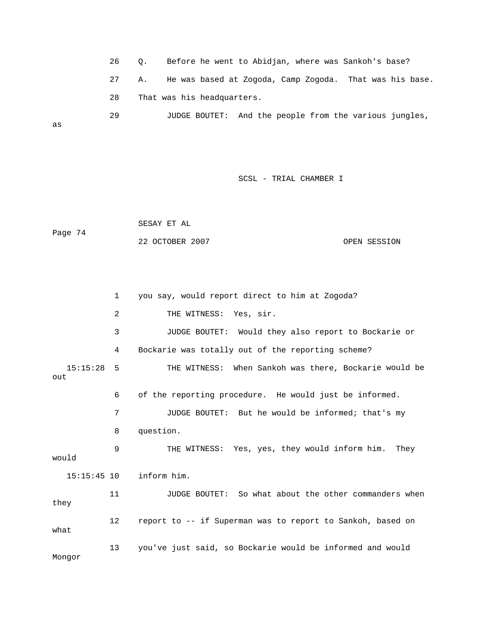26 Q. Before he went to Abidjan, where was Sankoh's base? 27 A. He was based at Zogoda, Camp Zogoda. That was his base. 29 JUDGE BOUTET: And the people from the various jungles, 28 That was his headquarters. as

SCSL - TRIAL CHAMBER I

 SESAY ET AL 22 OCTOBER 2007 OPEN SESSION Page 74

 1 you say, would report direct to him at Zogoda? 3 JUDGE BOUTET: Would they also report to Bockarie or 4 Bockarie was totally out of the reporting scheme? 15:15:28 5 THE WITNESS: When Sankoh was there, Bockarie would be 6 of the reporting procedure. He would just be informed. 7 JUDGE BOUTET: But he would be informed; that's my 8 question. WITNESS: Yes, yes, they would inform him. They 9 THE inform him. 11 JUDGE BOUTET: So what about the other commanders when 12 report to -- if Superman was to report to Sankoh, based on 13 you've just said, so Bockarie would be informed and would 2 THE WITNESS: Yes, sir. out would  $15:15:45$  10 they what Mongor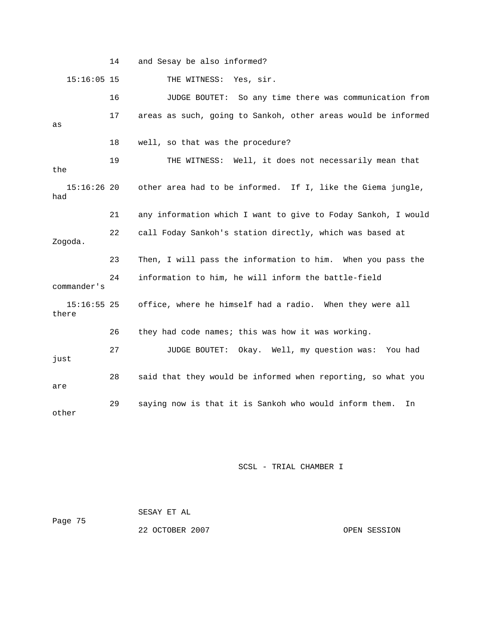14 and Sesay be also informed? 15:16:05 15 THE WITNESS: Yes, sir. 17 areas as such, going to Sankoh, other areas would be informed 18 well, so that was the procedure? 19 THE WITNESS: Well, it does not necessarily mean that 15:16:26 20 other area had to be informed. If I, like the Giema jungle, 21 any information which I want to give to Foday Sankoh, I would 24 information to him, he will inform the battle-field 15:16:55 25 office, where he himself had a radio. When they were all 26 they had code names; this was how it was working. 27 JUDGE BOUTET: Okay. Well, my question was: You had 28 said that they would be informed when reporting, so what you 29 saying now is that it is Sankoh who would inform them. In 16 JUDGE BOUTET: So any time there was communication from as the had 22 call Foday Sankoh's station directly, which was based at Zogoda. 23 Then, I will pass the information to him. When you pass the commander's there just are other

SCSL - TRIAL CHAMBER I

|         | SESAY ET AL     |              |
|---------|-----------------|--------------|
| Page 75 |                 |              |
|         | 22 OCTOBER 2007 | OPEN SESSION |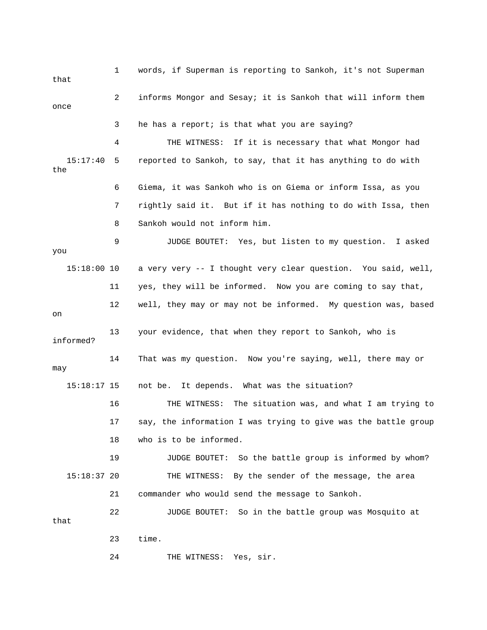| that            | 1              | words, if Superman is reporting to Sankoh, it's not Superman   |
|-----------------|----------------|----------------------------------------------------------------|
| once            | $\overline{2}$ | informs Mongor and Sesay; it is Sankoh that will inform them   |
|                 | 3              | he has a report; is that what you are saying?                  |
|                 | 4              | THE WITNESS: If it is necessary that what Mongor had           |
| 15:17:40<br>the | 5              | reported to Sankoh, to say, that it has anything to do with    |
|                 | 6              | Giema, it was Sankoh who is on Giema or inform Issa, as you    |
|                 | 7              | rightly said it. But if it has nothing to do with Issa, then   |
|                 | 8              | Sankoh would not inform him.                                   |
| you             | 9              | JUDGE BOUTET: Yes, but listen to my question. I asked          |
| $15:18:00$ 10   |                | a very very -- I thought very clear question. You said, well,  |
|                 | 11             | yes, they will be informed. Now you are coming to say that,    |
| on              | 12             | well, they may or may not be informed. My question was, based  |
| informed?       | 13             | your evidence, that when they report to Sankoh, who is         |
| may             | 14             | That was my question. Now you're saying, well, there may or    |
| $15:18:17$ 15   |                | not be. It depends. What was the situation?                    |
|                 | 16             | THE WITNESS: The situation was, and what I am trying to        |
|                 | 17             | say, the information I was trying to give was the battle group |
|                 | 18             | who is to be informed.                                         |
|                 | 19             | JUDGE BOUTET: So the battle group is informed by whom?         |
| $15:18:37$ 20   |                | THE WITNESS: By the sender of the message, the area            |
|                 | 21             | commander who would send the message to Sankoh.                |
| that            | 22             | JUDGE BOUTET: So in the battle group was Mosquito at           |
|                 | 23             | time.                                                          |
|                 | 24             | THE WITNESS: Yes, sir.                                         |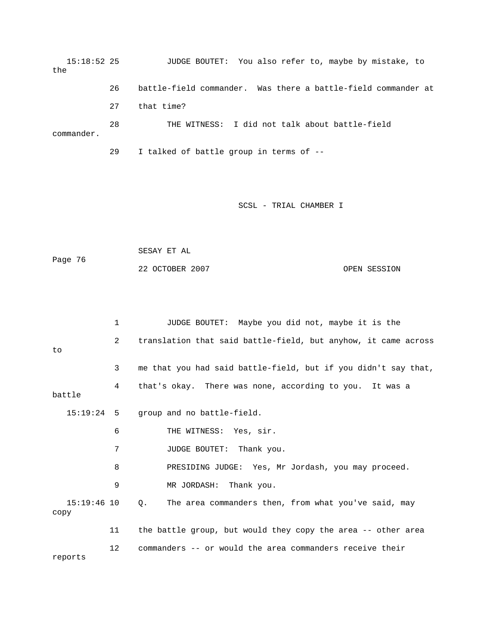15:18:52 25 JUDGE BOUTET: You also refer to, maybe by mistake, to the 26 battle-field commander. Was there a battle-field commander at 27 that time?

 28 THE WITNESS: I did not talk about battle-field commander.

29 I talked of battle group in terms of --

## SCSL - TRIAL CHAMBER I

| Page 76 | SESAY ET AL     |              |
|---------|-----------------|--------------|
|         | 22 OCTOBER 2007 | OPEN SESSION |

|                     | $\mathbf 1$    | JUDGE BOUTET: Maybe you did not, maybe it is the                    |
|---------------------|----------------|---------------------------------------------------------------------|
| to                  | $\overline{2}$ | translation that said battle-field, but anyhow, it came across      |
|                     | 3              | me that you had said battle-field, but if you didn't say that,      |
| battle              | 4              | that's okay. There was none, according to you. It was a             |
|                     |                | 15:19:24 5 group and no battle-field.                               |
|                     | 6              | THE WITNESS: Yes, sir.                                              |
|                     | 7              | JUDGE BOUTET: Thank you.                                            |
|                     | 8              | PRESIDING JUDGE: Yes, Mr Jordash, you may proceed.                  |
|                     | 9              | MR JORDASH: Thank you.                                              |
| 15:19:46 10<br>copy |                | $Q_{\star}$<br>The area commanders then, from what you've said, may |
|                     | 11             | the battle group, but would they copy the area -- other area        |
| reports             | 12             | commanders -- or would the area commanders receive their            |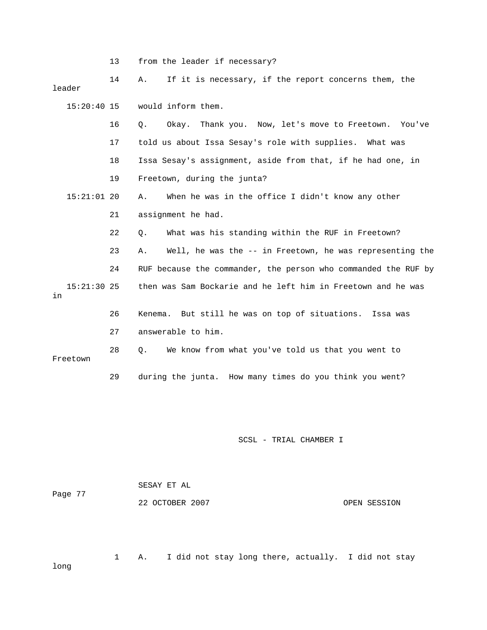|                     | 13 | from the leader if necessary?                                  |
|---------------------|----|----------------------------------------------------------------|
| leader              | 14 | If it is necessary, if the report concerns them, the<br>Α.     |
| $15:20:40$ 15       |    | would inform them.                                             |
|                     | 16 | Q.<br>Okay. Thank you. Now, let's move to Freetown.<br>You've  |
|                     | 17 | told us about Issa Sesay's role with supplies. What was        |
|                     | 18 | Issa Sesay's assignment, aside from that, if he had one, in    |
|                     | 19 | Freetown, during the junta?                                    |
| $15:21:01$ 20       |    | When he was in the office I didn't know any other<br>Α.        |
|                     | 21 | assignment he had.                                             |
|                     | 22 | What was his standing within the RUF in Freetown?<br>Q.        |
|                     | 23 | Well, he was the -- in Freetown, he was representing the<br>Α. |
|                     | 24 | RUF because the commander, the person who commanded the RUF by |
| $15:21:30$ 25<br>in |    | then was Sam Bockarie and he left him in Freetown and he was   |
|                     | 26 | Kenema. But still he was on top of situations.<br>Issa was     |
|                     | 27 | answerable to him.                                             |
| Freetown            | 28 | We know from what you've told us that you went to<br>О.        |
|                     | 29 | during the junta. How many times do you think you went?        |

| Page 77 | SESAY ET AL     |              |  |  |  |
|---------|-----------------|--------------|--|--|--|
|         | 22 OCTOBER 2007 | OPEN SESSION |  |  |  |

 1 A. I did not stay long there, actually. I did not stay long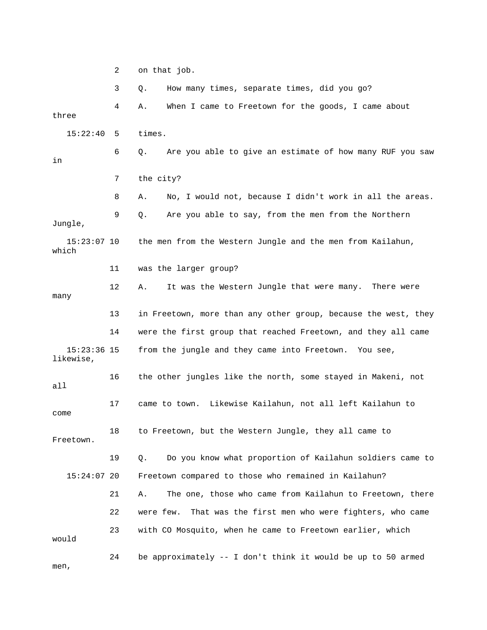2 on that job. 3 Q. How many times, separate times, did you go? 4 A. When I came to Freetown for the goods, I came about three 15:22:40 5 times. Are you able to give an estimate of how many RUF you saw 7 the city? 8 A. No, I would not, because I didn't work in all the areas. Jungle, the men from the Western Jungle and the men from Kailahun, which 11 was the larger group? 12 A. It was the Western Jungle that were many. There were many 13 in Freetown, more than any other group, because the west, they likewise, 16 the other jungles like the north, some stayed in Makeni, not all 17 came to town. Likewise Kailahun, not all left Kailahun to come 18 to Freetown, but the Western Jungle, they all came to Freetown. 19 Q. Do you know what proportion of Kailahun soldiers came to 21 A. The one, those who came from Kailahun to Freetown, there 24 be approximately -- I don't think it would be up to 50 armed n, me 6 Q. Ar in 9 Q. Are you able to say, from the men from the Northern 15:23: 14 were the first group that reached Freetown, and they all came 15:23:36 15 from the jungle and they came into Freetown. You see, 15:24:07 20 Freetown compared to those who remained in Kailahun? 22 were few. That was the first men who were fighters, who came 23 with CO Mosquito, when he came to Freetown earlier, which would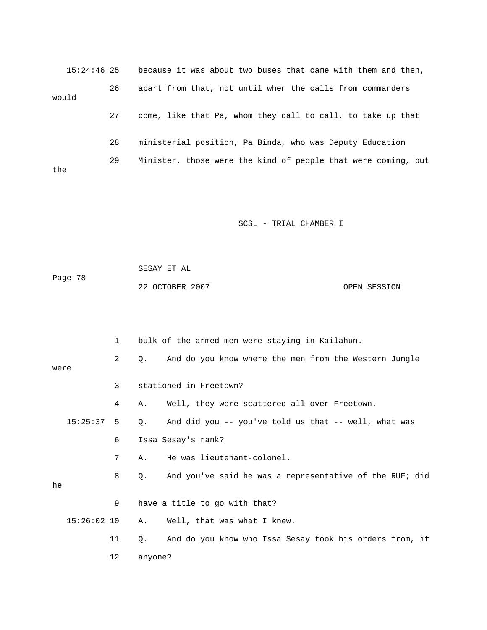|       | $15:24:46$ 25 |    | because it was about two buses that came with them and then,  |
|-------|---------------|----|---------------------------------------------------------------|
| would |               | 26 | apart from that, not until when the calls from commanders     |
|       |               | 27 | come, like that Pa, whom they call to call, to take up that   |
|       |               | 28 | ministerial position, Pa Binda, who was Deputy Education      |
| the   |               | 29 | Minister, those were the kind of people that were coming, but |

 SESAY ET AL ge 78 Pa 22 OCTOBER 2007 CPEN SESSION

|      |               | $\mathbf{1}$ |                    | bulk of the armed men were staying in Kailahun.         |
|------|---------------|--------------|--------------------|---------------------------------------------------------|
| were |               | $\mathbf{2}$ | 0.                 | And do you know where the men from the Western Jungle   |
|      |               | 3            |                    | stationed in Freetown?                                  |
|      |               | 4            | Α.                 | Well, they were scattered all over Freetown.            |
|      | $15:25:37$ 5  |              | Q.                 | And did you -- you've told us that -- well, what was    |
|      |               | 6            | Issa Sesay's rank? |                                                         |
|      |               | 7            | Α.                 | He was lieutenant-colonel.                              |
| he   |               | 8            | Q.                 | And you've said he was a representative of the RUF; did |
|      |               | 9            |                    | have a title to go with that?                           |
|      | $15:26:02$ 10 |              | Α.                 | Well, that was what I knew.                             |
|      |               | 11           | $\circ$ .          | And do you know who Issa Sesay took his orders from, if |
|      |               | 12           | anyone?            |                                                         |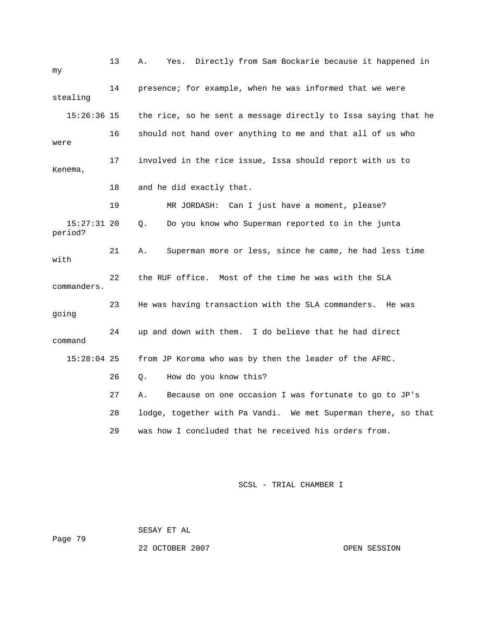| my                       | 13 | Directly from Sam Bockarie because it happened in<br>Α.<br>Yes. |
|--------------------------|----|-----------------------------------------------------------------|
| stealing                 | 14 | presence; for example, when he was informed that we were        |
| $15:26:36$ 15            |    | the rice, so he sent a message directly to Issa saying that he  |
| were                     | 16 | should not hand over anything to me and that all of us who      |
| Kenema,                  | 17 | involved in the rice issue, Issa should report with us to       |
|                          | 18 | and he did exactly that.                                        |
|                          | 19 | MR JORDASH: Can I just have a moment, please?                   |
| $15:27:31$ 20<br>period? |    | Q.<br>Do you know who Superman reported to in the junta         |
| with                     | 21 | Superman more or less, since he came, he had less time<br>Α.    |
| commanders.              | 22 | the RUF office. Most of the time he was with the SLA            |
| going                    | 23 | He was having transaction with the SLA commanders. He was       |
| command                  | 24 | up and down with them. I do believe that he had direct          |
| $15:28:04$ 25            |    | from JP Koroma who was by then the leader of the AFRC.          |
|                          | 26 | How do you know this?<br>Q.                                     |
|                          | 27 | Because on one occasion I was fortunate to go to JP's<br>Α.     |
|                          | 28 | lodge, together with Pa Vandi. We met Superman there, so that   |
|                          | 29 | was how I concluded that he received his orders from.           |

 SESAY ET AL Page 79

22 OCTOBER 2007 OPEN SESSION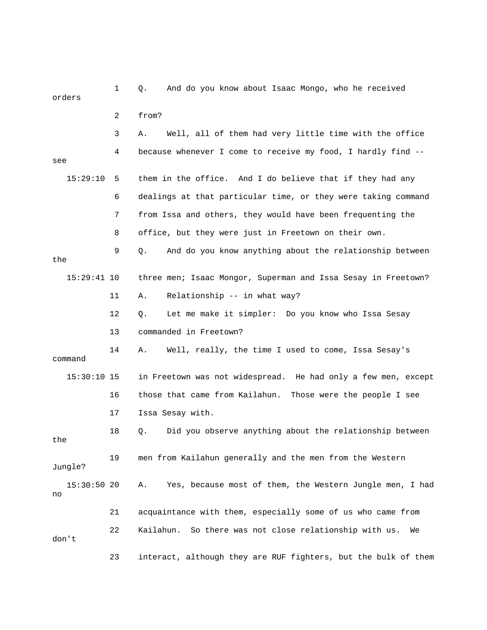| orders            | 1  | And do you know about Isaac Mongo, who he received<br>Q.        |
|-------------------|----|-----------------------------------------------------------------|
|                   | 2  | from?                                                           |
|                   | 3  | Well, all of them had very little time with the office<br>Α.    |
| see               | 4  | because whenever I come to receive my food, I hardly find --    |
| 15:29:10          | 5  | them in the office. And I do believe that if they had any       |
|                   | 6  | dealings at that particular time, or they were taking command   |
|                   | 7  | from Issa and others, they would have been frequenting the      |
|                   | 8  | office, but they were just in Freetown on their own.            |
| the               | 9  | And do you know anything about the relationship between<br>Q.   |
| $15:29:41$ 10     |    | three men; Isaac Mongor, Superman and Issa Sesay in Freetown?   |
|                   | 11 | Relationship -- in what way?<br>Α.                              |
|                   | 12 | Let me make it simpler: Do you know who Issa Sesay<br>Q.        |
|                   | 13 | commanded in Freetown?                                          |
| command           | 14 | Well, really, the time I used to come, Issa Sesay's<br>Α.       |
| $15:30:10$ 15     |    | in Freetown was not widespread. He had only a few men, except   |
|                   | 16 | those that came from Kailahun.<br>Those were the people I see   |
|                   | 17 | Issa Sesay with.                                                |
| the               | 18 | Did you observe anything about the relationship between<br>Q.   |
| Jungle?           | 19 | men from Kailahun generally and the men from the Western        |
| 15:30:50 20<br>no |    | Yes, because most of them, the Western Jungle men, I had<br>Α.  |
|                   | 21 | acquaintance with them, especially some of us who came from     |
| don't             | 22 | Kailahun.<br>So there was not close relationship with us.<br>We |
|                   | 23 | interact, although they are RUF fighters, but the bulk of them  |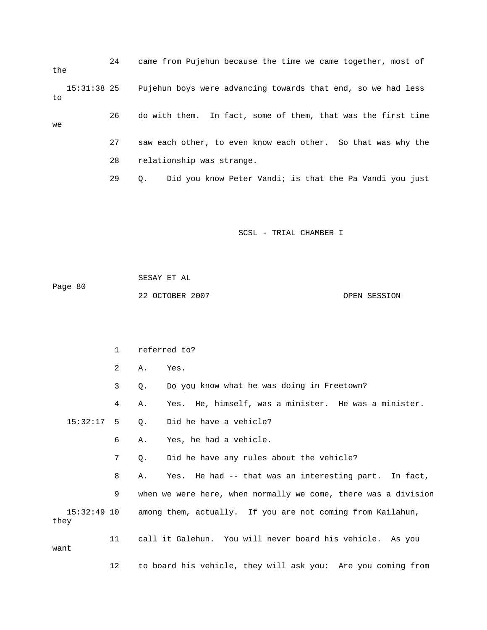24 came from Pujehun because the time we came together, most of the 15:31:38 25 Pujehun boys were advancing towards that end, so we had less to 26 do with them. In fact, some of them, that was the first time 27 saw each other, to even know each other. So that was why the 29 Q. Did you know Peter Vandi; is that the Pa Vandi you just we 28 relationship was strange.

SCSL - TRIAL CHAMBER I

 SESAY ET AL Page 80 22 OCTOBER 2007 CPEN SESSION

 1 referred to? 3 Q. Do you know what he was doing in Freetown? 4 A. Yes. He, himself, was a minister. He was a minister. 7 Q. Did he have any rules about the vehicle? 8 A. Yes. He had -- that was an interesting part. In fact, they 11 call it Galehun. You will never board his vehicle. As you want 2 A. Yes. 15:32:17 5 Q. Did he have a vehicle? 6 A. Yes, he had a vehicle. 9 when we were here, when normally we come, there was a division 15:32:49 10 among them, actually. If you are not coming from Kailahun,

12 to board his vehicle, they will ask you: Are you coming from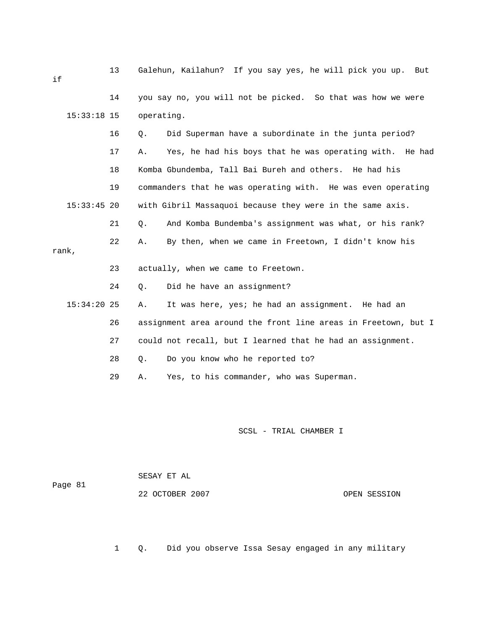| if            | 13 | Galehun, Kailahun? If you say yes, he will pick you up.<br>But |
|---------------|----|----------------------------------------------------------------|
|               | 14 | you say no, you will not be picked. So that was how we were    |
| $15:33:18$ 15 |    | operating.                                                     |
|               | 16 | Did Superman have a subordinate in the junta period?<br>Q.     |
|               | 17 | Yes, he had his boys that he was operating with. He had<br>Α.  |
|               | 18 | Komba Gbundemba, Tall Bai Bureh and others. He had his         |
|               | 19 | commanders that he was operating with. He was even operating   |
| $15:33:45$ 20 |    | with Gibril Massaquoi because they were in the same axis.      |
|               | 21 | And Komba Bundemba's assignment was what, or his rank?<br>Q.   |
| rank,         | 22 | By then, when we came in Freetown, I didn't know his<br>Α.     |
|               | 23 | actually, when we came to Freetown.                            |
|               |    |                                                                |
|               | 24 | Did he have an assignment?<br>Q.                               |
| $15:34:20$ 25 |    | It was here, yes; he had an assignment. He had an<br>Α.        |
|               | 26 | assignment area around the front line areas in Freetown, but I |
|               | 27 | could not recall, but I learned that he had an assignment.     |
|               | 28 | Do you know who he reported to?<br>Q.                          |
|               | 29 | Yes, to his commander, who was Superman.<br>Α.                 |

ge 81 Pa

SESAY ET AL

22 OCTOBER 2007 CPEN SESSION

1 Q. Did you observe Issa Sesay engaged in any military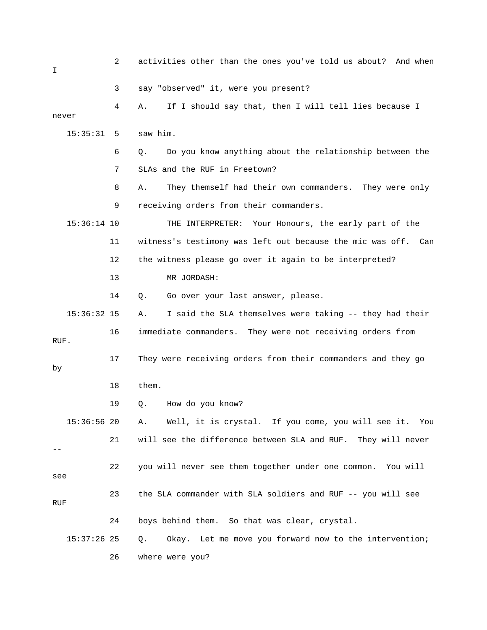| I    |               | 2   | activities other than the ones you've told us about? And when |
|------|---------------|-----|---------------------------------------------------------------|
|      |               | 3   | say "observed" it, were you present?                          |
|      | never         | 4   | If I should say that, then I will tell lies because I<br>Α.   |
|      | 15:35:31      | - 5 | saw him.                                                      |
|      |               | 6   | Do you know anything about the relationship between the<br>Q. |
|      |               | 7   | SLAs and the RUF in Freetown?                                 |
|      |               | 8   | They themself had their own commanders. They were only<br>Α.  |
|      |               | 9   | receiving orders from their commanders.                       |
|      | $15:36:14$ 10 |     | THE INTERPRETER: Your Honours, the early part of the          |
|      |               | 11  | witness's testimony was left out because the mic was off. Can |
|      |               | 12  | the witness please go over it again to be interpreted?        |
|      |               | 13  | MR JORDASH:                                                   |
|      |               | 14  | Go over your last answer, please.<br>Q.                       |
|      | $15:36:32$ 15 |     | I said the SLA themselves were taking -- they had their<br>Α. |
| RUF. |               | 16  | immediate commanders. They were not receiving orders from     |
| by   |               | 17  | They were receiving orders from their commanders and they go  |
|      |               | 18  | them.                                                         |
|      |               | 19  | How do you know?<br>Q.                                        |
|      | 15:36:5620    |     | Well, it is crystal. If you come, you will see it. You<br>Α.  |
|      |               | 21  | will see the difference between SLA and RUF. They will never  |
| see  |               | 22  | you will never see them together under one common. You will   |
| RUF  |               | 23  | the SLA commander with SLA soldiers and RUF -- you will see   |
|      |               | 24  | boys behind them. So that was clear, crystal.                 |
|      | $15:37:26$ 25 |     | Okay. Let me move you forward now to the intervention;<br>Q.  |
|      |               | 26  | where were you?                                               |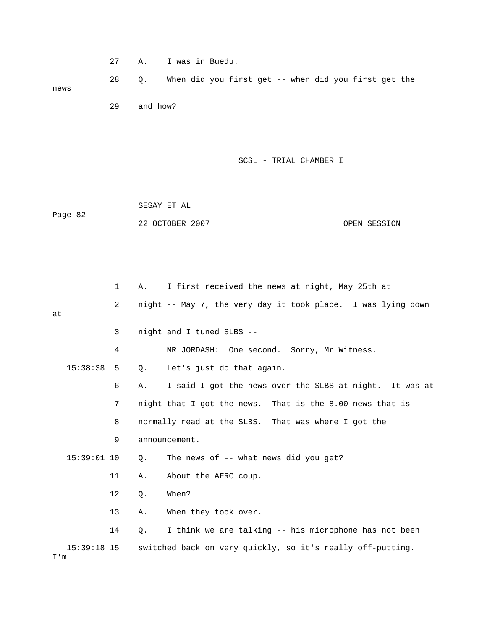|                      | 27 | Α.       | I was in Buedu.                                              |
|----------------------|----|----------|--------------------------------------------------------------|
| news                 | 28 | Q.       | When did you first get -- when did you first get the         |
|                      | 29 | and how? |                                                              |
|                      |    |          | SCSL - TRIAL CHAMBER I                                       |
| Page 82              |    |          | SESAY ET AL                                                  |
|                      |    |          | 22 OCTOBER 2007<br>OPEN SESSION                              |
|                      |    |          |                                                              |
|                      | 1  | Α.       | I first received the news at night, May 25th at              |
| at                   | 2  |          | night -- May 7, the very day it took place. I was lying down |
|                      | 3  |          | night and I tuned SLBS --                                    |
|                      | 4  |          | MR JORDASH: One second. Sorry, Mr Witness.                   |
| 15:38:38             | 5  | Q.       | Let's just do that again.                                    |
|                      | 6  | Α.       | I said I got the news over the SLBS at night. It was at      |
|                      | 7  |          | night that I got the news.<br>That is the 8.00 news that is  |
|                      | 8  |          | normally read at the SLBS. That was where I got the          |
|                      | 9  |          | announcement.                                                |
| $15:39:01$ 10        |    | $Q$ .    | The news of -- what news did you get?                        |
|                      | 11 | Α.       | About the AFRC coup.                                         |
|                      | 12 | Q.       | When?                                                        |
|                      | 13 | Α.       | When they took over.                                         |
|                      | 14 | Q.       | I think we are talking -- his microphone has not been        |
| $15:39:18$ 15<br>I'm |    |          | switched back on very quickly, so it's really off-putting.   |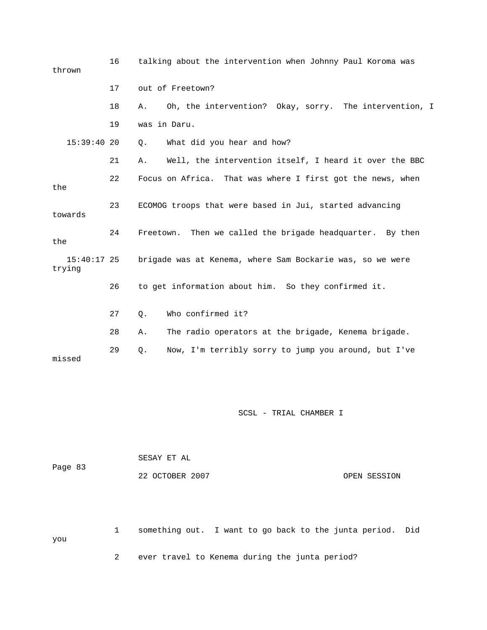| thrown                  | 16 | talking about the intervention when Johnny Paul Koroma was   |  |  |
|-------------------------|----|--------------------------------------------------------------|--|--|
|                         | 17 | out of Freetown?                                             |  |  |
|                         | 18 | Oh, the intervention? Okay, sorry. The intervention, I<br>Α. |  |  |
|                         | 19 | was in Daru.                                                 |  |  |
| $15:39:40$ 20           |    | What did you hear and how?<br>Ο.                             |  |  |
|                         | 21 | Well, the intervention itself, I heard it over the BBC<br>Α. |  |  |
| the                     | 22 | Focus on Africa. That was where I first got the news, when   |  |  |
| towards                 | 23 | ECOMOG troops that were based in Jui, started advancing      |  |  |
| the                     | 24 | Freetown. Then we called the brigade headquarter. By then    |  |  |
| $15:40:17$ 25<br>trying |    | brigade was at Kenema, where Sam Bockarie was, so we were    |  |  |
|                         | 26 | to get information about him. So they confirmed it.          |  |  |
|                         | 27 | Who confirmed it?<br>$Q$ .                                   |  |  |
|                         | 28 | The radio operators at the brigade, Kenema brigade.<br>Α.    |  |  |
| missed                  | 29 | Now, I'm terribly sorry to jump you around, but I've<br>Q.   |  |  |

| Page 83 | SESAY ET AL     |  |              |  |
|---------|-----------------|--|--------------|--|
|         | 22 OCTOBER 2007 |  | OPEN SESSION |  |

 1 something out. I want to go back to the junta period. Did 2 ever travel to Kenema during the junta period? you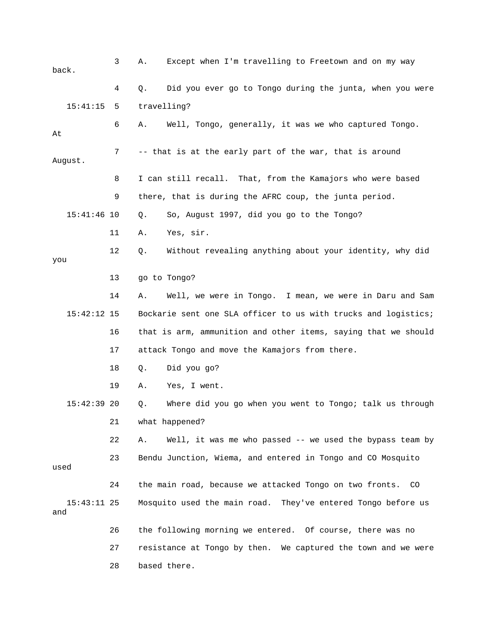3 A. Except when I'm travelling to Freetown and on my way 4 Q. Did you ever go to Tongo during the junta, when you were 15:41:15 5 travelling? 9 there, that is during the AFRC coup, the junta period. 15:41:46 10 Q. So, August 1997, did you go to the Tongo? 12 Q. Without revealing anything about your identity, why did 13 go to Tongo? 14 A. Well, we were in Tongo. I mean, we were in Daru and Sam 16 that is arm, ammunition and other items, saying that we should 17 attack Tongo and move the Kamajors from there. 19 A. Yes, I went. 15:42:39 20 Q. Where did you go when you went to Tongo; talk us through 22 A. Well, it was me who passed -- we used the bypass team by 23 Bendu Junction, Wiema, and entered in Tongo and CO Mosquito 24 the main road, because we attacked Tongo on two fronts. CO 15:43:11 25 Mosquito used the main road. They've entered Tongo before us 26 the following morning we entered. Of course, there was no 27 resistance at Tongo by then. We captured the town and we were 28 based there. back. 6 A. Well, Tongo, generally, it was we who captured Tongo. At 7 -- that is at the early part of the war, that is around August. 8 I can still recall. That, from the Kamajors who were based 11 A. Yes, sir. you 15:42:12 15 Bockarie sent one SLA officer to us with trucks and logistics; 18 Q. Did you go? 21 what happened? used and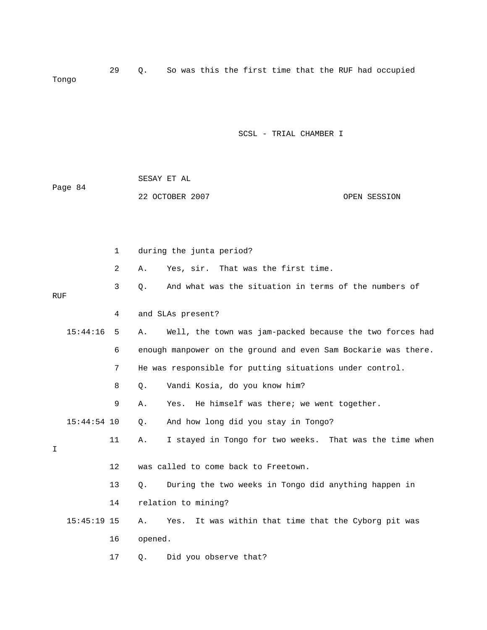29 Q. So was this the first time that the RUF had occupied Tongo

SCSL - TRIAL CHAMBER I

| Page 84 | SESAY ET AL     |              |
|---------|-----------------|--------------|
|         | 22 OCTOBER 2007 | OPEN SESSION |

|            |               | $\mathbf 1$ | during the junta period? |                                                                |  |
|------------|---------------|-------------|--------------------------|----------------------------------------------------------------|--|
|            |               | 2           | Α.                       | That was the first time.<br>Yes, sir.                          |  |
| <b>RUF</b> |               | 3           | Q.                       | And what was the situation in terms of the numbers of          |  |
|            |               | 4           |                          | and SLAs present?                                              |  |
|            | 15:44:16      | 5           | Α.                       | Well, the town was jam-packed because the two forces had       |  |
|            |               | 6           |                          | enough manpower on the ground and even Sam Bockarie was there. |  |
|            |               | 7           |                          | He was responsible for putting situations under control.       |  |
|            |               | 8           | Q.                       | Vandi Kosia, do you know him?                                  |  |
|            |               | 9           | Α.                       | He himself was there; we went together.<br>Yes.                |  |
|            | $15:44:54$ 10 |             | Q.                       | And how long did you stay in Tongo?                            |  |
| I.         |               | 11          | Α.                       | I stayed in Tongo for two weeks. That was the time when        |  |
|            |               | 12          |                          | was called to come back to Freetown.                           |  |
|            |               | 13          | О.                       | During the two weeks in Tongo did anything happen in           |  |
|            |               | 14          |                          | relation to mining?                                            |  |
|            | $15:45:19$ 15 |             | Α.                       | It was within that time that the Cyborg pit was<br>Yes.        |  |
|            |               | 16          | opened.                  |                                                                |  |
|            |               | 17          | Q.                       | Did you observe that?                                          |  |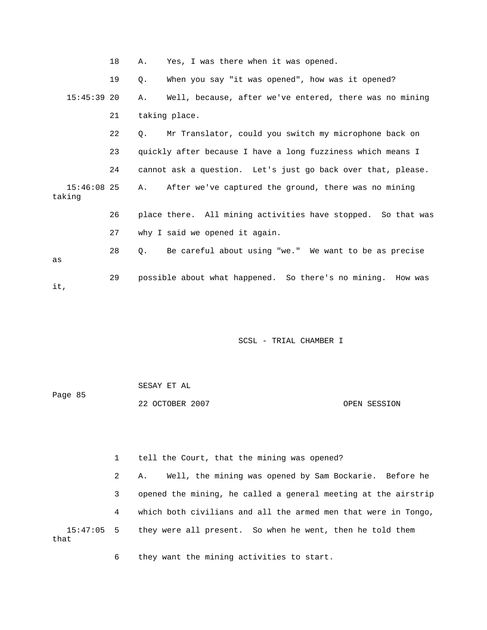|                       | 18 | Α.        | Yes, I was there when it was opened.                         |
|-----------------------|----|-----------|--------------------------------------------------------------|
|                       | 19 | Q.        | When you say "it was opened", how was it opened?             |
| $15:45:39$ 20         |    | A.,       | Well, because, after we've entered, there was no mining      |
|                       | 21 |           | taking place.                                                |
|                       | 22 | $Q$ .     | Mr Translator, could you switch my microphone back on        |
|                       | 23 |           | quickly after because I have a long fuzziness which means I  |
|                       | 24 |           | cannot ask a question. Let's just go back over that, please. |
| 15:46:08 25<br>taking |    |           | A. After we've captured the ground, there was no mining      |
|                       | 26 |           | place there. All mining activities have stopped. So that was |
|                       | 27 |           | why I said we opened it again.                               |
| as                    | 28 | $\circ$ . | Be careful about using "we." We want to be as precise        |
| it,                   | 29 |           | possible about what happened. So there's no mining. How was  |

|         | SESAY ET AL     |              |
|---------|-----------------|--------------|
| Page 85 |                 |              |
|         | 22 OCTOBER 2007 | OPEN SESSION |

 1 tell the Court, that the mining was opened? 2 A. Well, the mining was opened by Sam Bockarie. Before he 3 opened the mining, he called a general meeting at the airstrip 4 which both civilians and all the armed men that were in Tongo, 15:47:05 5 they were all present. So when he went, then he told them that

6 they want the mining activities to start.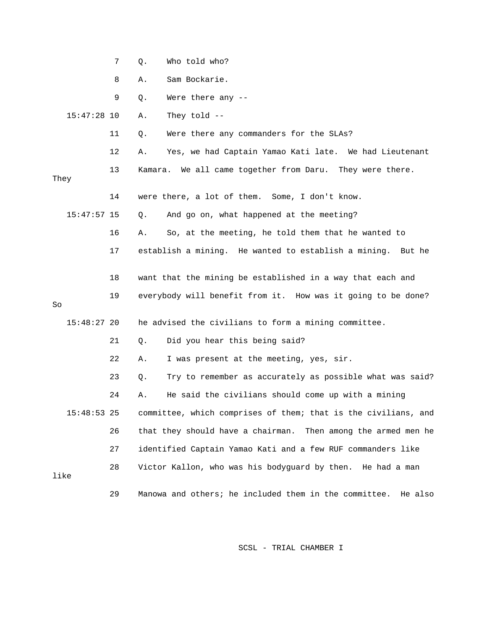|               | 7  | Who told who?<br>Q.                                              |
|---------------|----|------------------------------------------------------------------|
|               | 8  | Sam Bockarie.<br>Α.                                              |
|               | 9  | Were there any --<br>Q.                                          |
| $15:47:28$ 10 |    | They told $-$<br>Α.                                              |
|               | 11 | Were there any commanders for the SLAs?<br>Q.                    |
|               | 12 | Yes, we had Captain Yamao Kati late. We had Lieutenant<br>Α.     |
| They          | 13 | We all came together from Daru. They were there.<br>Kamara.      |
|               | 14 | were there, a lot of them. Some, I don't know.                   |
| $15:47:57$ 15 |    | And go on, what happened at the meeting?<br>Q.                   |
|               | 16 | So, at the meeting, he told them that he wanted to<br>Α.         |
|               | 17 | establish a mining. He wanted to establish a mining. But he      |
|               | 18 | want that the mining be established in a way that each and       |
| So            | 19 | everybody will benefit from it. How was it going to be done?     |
| $15:48:27$ 20 |    | he advised the civilians to form a mining committee.             |
|               | 21 | Did you hear this being said?<br>Q.                              |
|               | 22 | I was present at the meeting, yes, sir.<br>Α.                    |
|               | 23 | Try to remember as accurately as possible what was said?<br>Q.   |
|               | 24 | He said the civilians should come up with a mining<br>Α.         |
| $15:48:53$ 25 |    | committee, which comprises of them; that is the civilians, and   |
|               | 26 | that they should have a chairman.<br>Then among the armed men he |
|               | 27 | identified Captain Yamao Kati and a few RUF commanders like      |
| like          | 28 | Victor Kallon, who was his bodyguard by then. He had a man       |
|               | 29 | Manowa and others; he included them in the committee. He also    |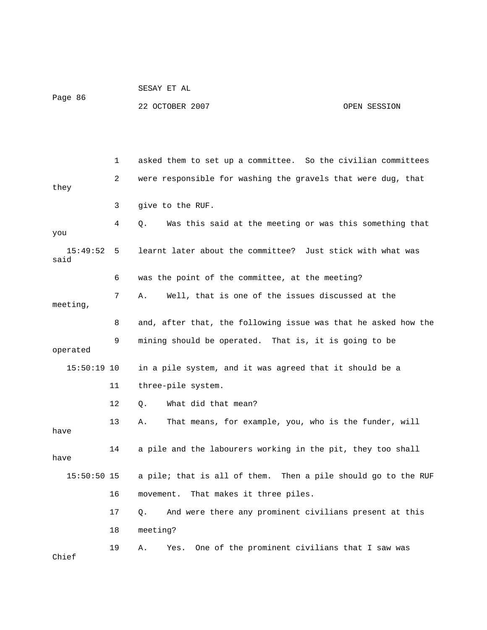Page 86

SESAY ET AL

22 OCTOBER 2007 OPEN SESSION

 1 asked them to set up a committee. So the civilian committees they 3 give to the RUF. 4 Q. Was this said at the meeting or was this something that learnt later about the committee? Just stick with what was said 7 A. Well, that is one of the issues discussed at the 8 and, after that, the following issue was that he asked how the 9 mining should be operated. That is, it is going to be 11 three-pile system. 12 Q. What did that mean? 13 A. That means, for example, you, who is the funder, will 15:50:50 15 a pile; that is all of them. Then a pile should go to the RUF 16 movement. That makes it three piles. 17 Q. And were there any prominent civilians present at this 19 A. Yes. One of the prominent civilians that I saw was 2 were responsible for washing the gravels that were dug, that you  $15:49:52$  5 6 was the point of the committee, at the meeting? meeting, operated 15:50:19 10 in a pile system, and it was agreed that it should be a have 14 a pile and the labourers working in the pit, they too shall have 18 meeting? Chief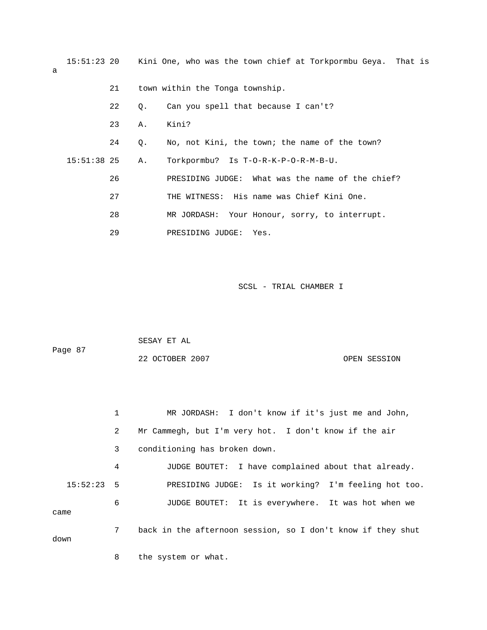15:51:23 20 Kini One, who was the town chief at Torkpormbu Geya. That is 22 Q. Can you spell that because I can't? 24 Q. No, not Kini, the town; the name of the town? 15:51:38 25 A. Torkpormbu? Is T-O-R-K-P-O-R-M-B-U. f the chief? 26 PRESIDING JUDGE: What was the name o 27 THE WITNESS: His name was Chief Kini One. 28 MR JORDASH: Your Honour, sorry, to interrupt. 21 town within the Tonga township. 23 A. Kini? 29 PRESIDING JUDGE: Yes.

SCSL - TRIAL CHAMBER I

|         | SESAY ET AL     |              |
|---------|-----------------|--------------|
| Page 87 |                 |              |
|         | 22 OCTOBER 2007 | OPEN SESSION |

 1 MR JORDASH: I don't know if it's just me and John, 2 Mr Cammegh, but I'm very hot. I don't know if the air 4 JUDGE BOUTET: I have complained about that already. 15:52:23 5 PRESIDING JUDGE: Is it working? I'm feeling hot too. 3 conditioning has broken down. 6 JUDGE BOUTET: It is everywhere. It was hot when we came 7 back in the afternoon session, so I don't know if they shut down

8 the system or what.

a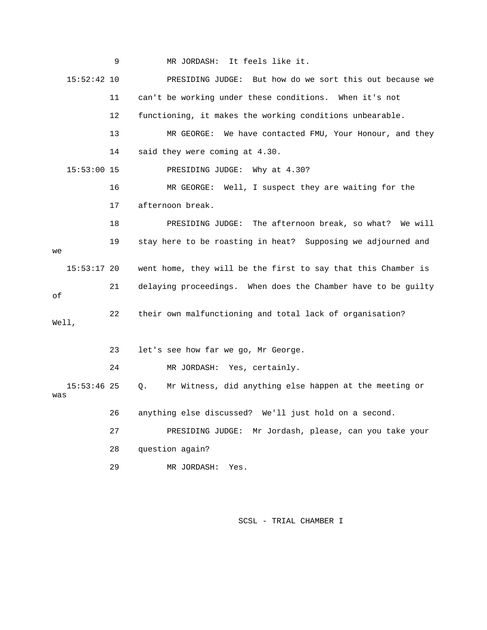9 MR JORDASH: It feels like it. 15:52:42 10 PRESIDING JUDGE: But how do we sort this out because we 11 can't be working under these conditions. When it's not 13 MR GEORGE: We have contacted FMU, Your Honour, and they 16 MR GEORGE: Well, I suspect they are waiting for the ll 18 PRESIDING JUDGE: The afternoon break, so what? We wi 19 stay here to be roasting in heat? Supposing we adjourned and 15:53:17 20 went home, they will be the first to say that this Chamber is 21 delaying proceedings. When does the Chamber have to be guilty 24 MR JORDASH: Yes, certainly. 15:53:46 25 Q. Mr Witness, did anything else happen at the meeting or 26 anything else discussed? We'll just hold on a second. 27 PRESIDING JUDGE: Mr Jordash, please, can you take your 12 functioning, it makes the working conditions unbearable. 14 said they were coming at 4.30. 15:53:00 15 PRESIDING JUDGE: Why at 4.30? 17 afternoon break. we of 22 their own malfunctioning and total lack of organisation? Well, 23 let's see how far we go, Mr George. was 28 question again? 29 MR JORDASH: Yes.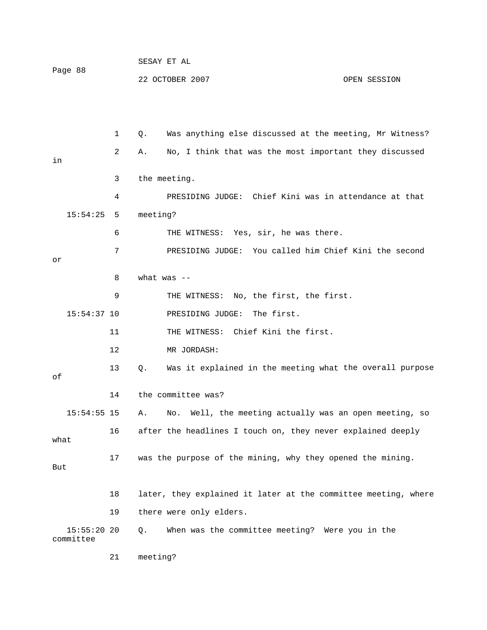| Page 88 | SESAY ET AL     |              |
|---------|-----------------|--------------|
|         | 22 OCTOBER 2007 | OPEN SESSION |

 1 Q. Was anything else discussed at the meeting, Mr Witness? 4 PRESIDING JUDGE: Chief Kini was in attendance at that 15:54:25 5 meeting? 6 THE WITNESS: Yes, sir, he was there. 7 PRESIDING JUDGE: You called him Chief Kini the second 9 THE WITNESS: No, the first, the first. PRESIDING JUDGE: The first. 11 THE WITNESS: Chief Kini the first. 12 MR JORDASH: 13 Q. Was it explained in the meeting what the overall purpose 15:54:55 15 A. No. Well, the meeting actually was an open meeting, so 16 after the headlines I touch on, they never explained deeply 18 later, they explained it later at the committee meeting, where 19 there were only elders. 2 A. No, I think that was the most important they discussed in 3 the meeting. or 8 what was --  $15:54:37$  10 of 14 the committee was? what 17 was the purpose of the mining, why they opened the mining. But 15:55:20 20 Q. When was the committee meeting? Were you in the committee 21 meeting?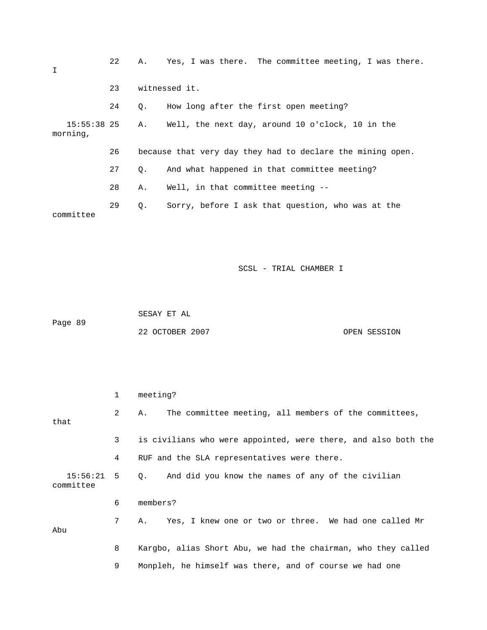| I                         | 22 |    | A. Yes, I was there. The committee meeting, I was there.   |
|---------------------------|----|----|------------------------------------------------------------|
|                           | 23 |    | witnessed it.                                              |
|                           | 24 | О. | How long after the first open meeting?                     |
| $15:55:38$ 25<br>morning, |    | Α. | Well, the next day, around 10 o'clock, 10 in the           |
|                           | 26 |    | because that very day they had to declare the mining open. |
|                           | 27 | О. | And what happened in that committee meeting?               |
|                           | 28 | Α. | Well, in that committee meeting --                         |
| committee                 | 29 | Q. | Sorry, before I ask that question, who was at the          |

 SESAY ET AL ge 89 22 OCTOBER 2007 CPEN SESSION Pa

|                           | 1              | meeting?                                                       |
|---------------------------|----------------|----------------------------------------------------------------|
| that                      | $\overline{2}$ | The committee meeting, all members of the committees,<br>Α.    |
|                           | 3              | is civilians who were appointed, were there, and also both the |
|                           | 4              | RUF and the SLA representatives were there.                    |
| $15:56:21$ 5<br>committee |                | And did you know the names of any of the civilian<br>0.        |
|                           | 6              | members?                                                       |
| Abu                       | 7              | Yes, I knew one or two or three. We had one called Mr<br>A.,   |
|                           | 8              | Kargbo, alias Short Abu, we had the chairman, who they called  |
|                           | 9              | Monpleh, he himself was there, and of course we had one        |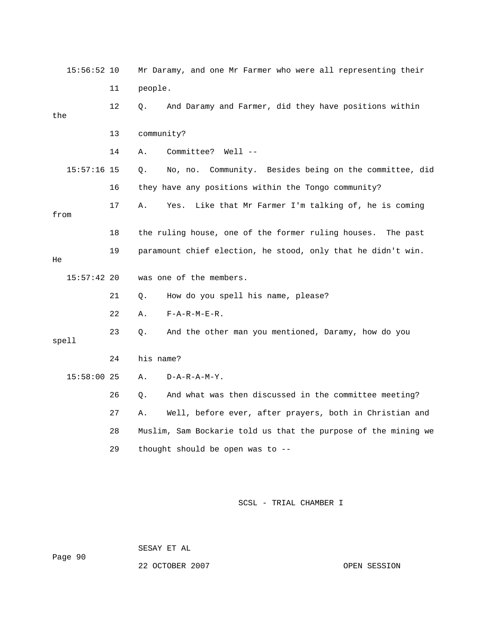|      | $15:56:52$ 10 |    | Mr Daramy, and one Mr Farmer who were all representing their   |
|------|---------------|----|----------------------------------------------------------------|
|      |               | 11 | people.                                                        |
| the  |               | 12 | And Daramy and Farmer, did they have positions within<br>Q.    |
|      |               | 13 | community?                                                     |
|      |               | 14 | Committee? Well --<br>Α.                                       |
|      | $15:57:16$ 15 |    | No, no. Community. Besides being on the committee, did<br>Q.   |
|      |               | 16 | they have any positions within the Tongo community?            |
| from |               | 17 | Like that Mr Farmer I'm talking of, he is coming<br>Α.<br>Yes. |
|      |               | 18 | the ruling house, one of the former ruling houses. The past    |
| He   |               | 19 | paramount chief election, he stood, only that he didn't win.   |
|      | $15:57:42$ 20 |    | was one of the members.                                        |
|      |               | 21 | How do you spell his name, please?<br>Q.                       |
|      |               | 22 | $F - A - R - M - E - R$ .<br>Α.                                |
|      | spell         | 23 | And the other man you mentioned, Daramy, how do you<br>Q.      |
|      |               | 24 | his name?                                                      |
|      | 15:58:00 25   |    | $D - A - R - A - M - Y$ .<br>Α.                                |
|      |               | 26 | And what was then discussed in the committee meeting?<br>О.    |
|      |               | 27 | Well, before ever, after prayers, both in Christian and<br>Α.  |
|      |               | 28 | Muslim, Sam Bockarie told us that the purpose of the mining we |
|      |               | 29 | thought should be open was to --                               |

SESAY ET AL

ge 90 Pa

22 OCTOBER 2007 CPEN SESSION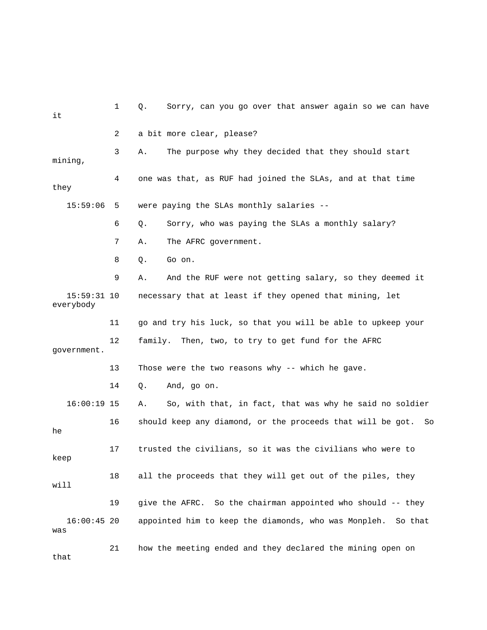| it                         | 1  | Sorry, can you go over that answer again so we can have<br>Q.   |
|----------------------------|----|-----------------------------------------------------------------|
|                            | 2  | a bit more clear, please?                                       |
| mining,                    | 3  | The purpose why they decided that they should start<br>Α.       |
| they                       | 4  | one was that, as RUF had joined the SLAs, and at that time      |
| 15:59:06                   | 5  | were paying the SLAs monthly salaries --                        |
|                            | 6  | Sorry, who was paying the SLAs a monthly salary?<br>Q.          |
|                            | 7  | The AFRC government.<br>Α.                                      |
|                            | 8  | Go on.<br>Q.                                                    |
|                            | 9  | And the RUF were not getting salary, so they deemed it<br>Α.    |
| $15:59:31$ 10<br>everybody |    | necessary that at least if they opened that mining, let         |
|                            | 11 | go and try his luck, so that you will be able to upkeep your    |
| government.                | 12 | family. Then, two, to try to get fund for the AFRC              |
|                            | 13 | Those were the two reasons why -- which he gave.                |
|                            | 14 | And, go on.<br>Q.                                               |
| $16:00:19$ 15              |    | So, with that, in fact, that was why he said no soldier<br>Α.   |
| he                         | 16 | should keep any diamond, or the proceeds that will be got. So   |
| keep                       | 17 | trusted the civilians, so it was the civilians who were to      |
| will                       | 18 | all the proceeds that they will get out of the piles, they      |
|                            | 19 | So the chairman appointed who should -- they<br>give the AFRC.  |
| $16:00:45$ 20<br>was       |    | appointed him to keep the diamonds, who was Monpleh.<br>So that |
| that                       | 21 | how the meeting ended and they declared the mining open on      |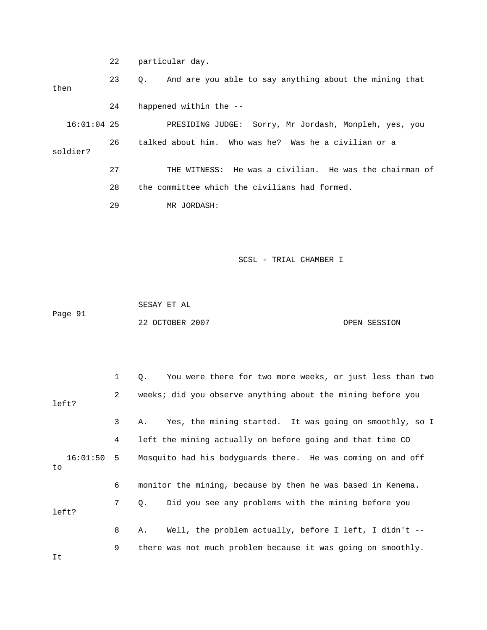22 particular day.

 23 Q. And are you able to say anything about the mining that Sorry, Mr Jordash, Monpleh, yes, you 16:01:04 25 PRESIDING JUDGE: 26 talked about him. Who was he? Was he a civilian or a 27 THE WITNESS: He was a civilian. He was the chairman of 28 the committee which the civilians had formed. then 24 happened within the - soldier? 29 MR JORDASH:

SCSL - TRIAL CHAMBER I

 SESAY ET AL Page 91

22 OCTOBER 2007 CPEN SESSION

 1 Q. You were there for two more weeks, or just less than two 2 weeks; did you observe anything about the mining before you 3 A. Yes, the mining started. It was going on smoothly, so I 4 left the mining actually on before going and that time CO 16:01:50 5 Mosquito had his bodyguards there. He was coming on and off 7 Q. Did you see any problems with the mining before you 8 A. Well, the problem actually, before I left, I didn't -- 9 there was not much problem because it was going on smoothly. left? to 6 monitor the mining, because by then he was based in Kenema. left?

It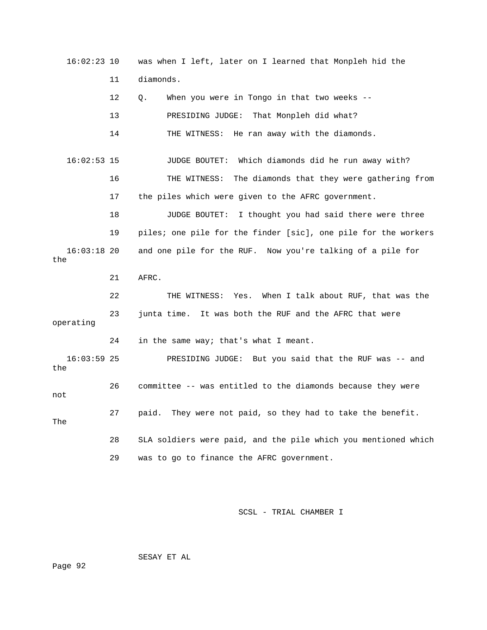16:02:23 10 was when I left, later on I learned that Monpleh hid the 11 diamonds. 12 Q. When you were in Tongo in that two weeks -- 13 PRESIDING JUDGE: That Monpleh did what? 14 THE WITNESS: He ran away with the diamonds. 16:02:53 15 JUDGE BOUTET: Which diamonds did he run away with? 16 THE WITNESS: The diamonds that they were gathering from 17 the piles which were given to the AFRC government. 18 JUDGE BOUTET: I thought you had said there were three 19 piles; one pile for the finder [sic], one pile for the workers 16:03:18 20 and one pile for the RUF. Now you're talking of a pile for 22 THE WITNESS: Yes. When I talk about RUF, that was the 23 junta time. It was both the RUF and the AFRC that were 16:03:59 25 PRESIDING JUDGE: But you said that the RUF was -- and 29 was to go to finance the AFRC government. the 21 AFRC. operating 24 in the same way; that's what I meant. the 26 committee -- was entitled to the diamonds because they were not 27 paid. They were not paid, so they had to take the benefit. The 28 SLA soldiers were paid, and the pile which you mentioned which

SCSL - TRIAL CHAMBER I

SESAY ET AL

Page 92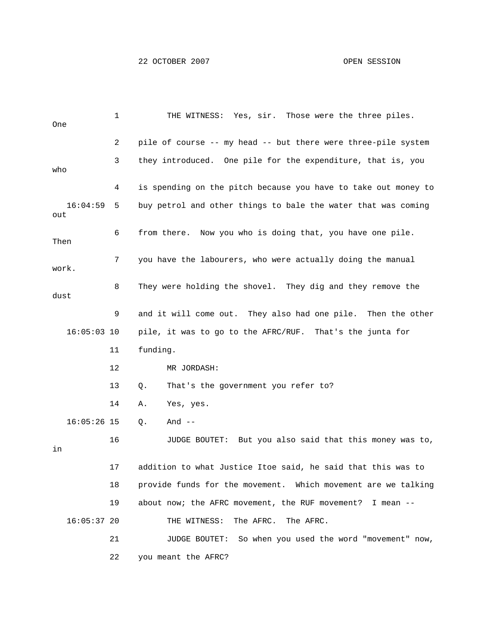1 THE WITNESS: Yes, sir. Those were the three piles. One 3 they introduced. One pile for the expenditure, that is, you 9 and it will come out. They also had one pile. Then the other 16:05:03 10 pile, it was to go to the AFRC/RUF. That's the junta for 11 funding. 13 Q. That's the government you refer to? 14 A. Yes, yes. 16 JUDGE BOUTET: But you also said that this money was to, 18 provide funds for the movement. Which movement are we talking 16:05:37 20 THE WITNESS: The AFRC. The AFRC. 21 JUDGE BOUTET: So when you used the word "movement" now, 2 pile of course -- my head -- but there were three-pile system who 4 is spending on the pitch because you have to take out money to 16:04:59 5 buy petrol and other things to bale the water that was coming out 6 from there. Now you who is doing that, you have one pile. Then 7 you have the labourers, who were actually doing the manual work. 8 They were holding the shovel. They dig and they remove the dust 12 MR JORDASH: 16:05:26 15 Q. And - in 17 addition to what Justice Itoe said, he said that this was to 19 about now; the AFRC movement, the RUF movement? I mean -- 22 you meant the AFRC?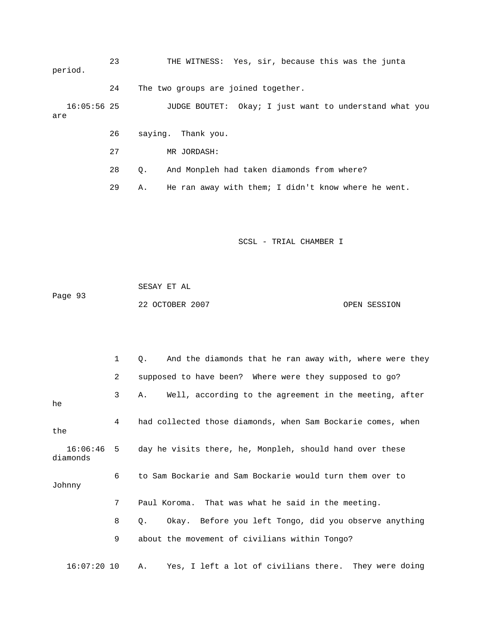23 THE WITNESS: Yes, sir, because this was the junta period.

24 The two groups are joined together.

 16:05:56 25 JUDGE BOUTET: Okay; I just want to understand what you are

- 26 saying. Thank you.
- 27 MR JORDASH:
- 28 Q. And Monpleh had taken diamonds from where?
- 29 A. He ran away with them; I didn't know where he went.

SCSL - TRIAL CHAMBER I

 SESAY ET AL Page 93 22 OCTOBER 2007 OPEN SESSION

 1 Q. And the diamonds that he ran away with, where were they 2 supposed to have been? Where were they supposed to go? diamonds 8 Q. Okay. Before you left Tongo, did you observe anything 16:07:20 10 A. Yes, I left a lot of civilians there. They were doing 3 A. Well, according to the agreement in the meeting, after he 4 had collected those diamonds, when Sam Bockarie comes, when the 16:06:46 5 day he visits there, he, Monpleh, should hand over these 6 to Sam Bockarie and Sam Bockarie would turn them over to Johnny 7 Paul Koroma. That was what he said in the meeting. 9 about the movement of civilians within Tongo?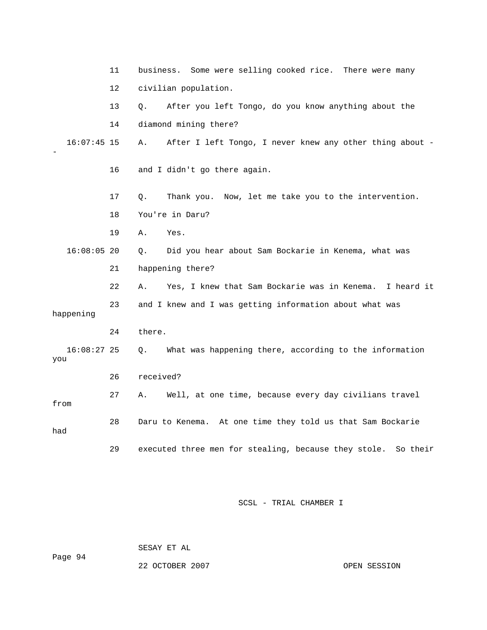|                    | 11 | business. Some were selling cooked rice. There were many       |  |  |  |  |  |
|--------------------|----|----------------------------------------------------------------|--|--|--|--|--|
|                    | 12 | civilian population.                                           |  |  |  |  |  |
|                    | 13 | After you left Tongo, do you know anything about the<br>Q.     |  |  |  |  |  |
|                    | 14 | diamond mining there?                                          |  |  |  |  |  |
| $16:07:45$ 15      |    | After I left Tongo, I never knew any other thing about -<br>Α. |  |  |  |  |  |
|                    | 16 | and I didn't go there again.                                   |  |  |  |  |  |
|                    | 17 | Thank you. Now, let me take you to the intervention.<br>Q.     |  |  |  |  |  |
|                    | 18 | You're in Daru?                                                |  |  |  |  |  |
|                    | 19 | Α.<br>Yes.                                                     |  |  |  |  |  |
| $16:08:05$ 20      |    | Did you hear about Sam Bockarie in Kenema, what was<br>Q.      |  |  |  |  |  |
|                    | 21 | happening there?                                               |  |  |  |  |  |
|                    | 22 | Yes, I knew that Sam Bockarie was in Kenema. I heard it<br>Α.  |  |  |  |  |  |
| happening          | 23 | and I knew and I was getting information about what was        |  |  |  |  |  |
|                    | 24 | there.                                                         |  |  |  |  |  |
| 16:08:27 25<br>you |    | What was happening there, according to the information<br>Q.   |  |  |  |  |  |
|                    | 26 | received?                                                      |  |  |  |  |  |
| from               | 27 | Well, at one time, because every day civilians travel<br>Α.    |  |  |  |  |  |
| had                | 28 | Daru to Kenema. At one time they told us that Sam Bockarie     |  |  |  |  |  |
|                    | 29 | executed three men for stealing, because they stole. So their  |  |  |  |  |  |

SESAY ET AL

ge 94

Pa

22 OCTOBER 2007 CPEN SESSION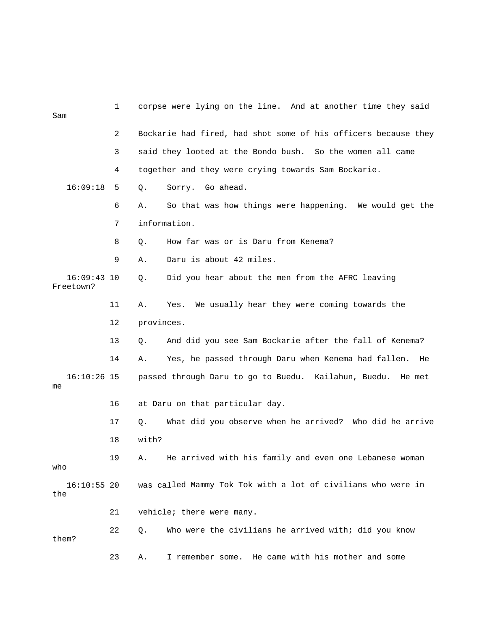| Sam                        | 1  | corpse were lying on the line. And at another time they said     |
|----------------------------|----|------------------------------------------------------------------|
|                            | 2  | Bockarie had fired, had shot some of his officers because they   |
|                            | 3  | said they looted at the Bondo bush. So the women all came        |
|                            | 4  | together and they were crying towards Sam Bockarie.              |
| 16:09:18                   | 5  | Sorry. Go ahead.<br>Q.                                           |
|                            | 6  | So that was how things were happening. We would get the<br>Α.    |
|                            | 7  | information.                                                     |
|                            | 8  | How far was or is Daru from Kenema?<br>Q.                        |
|                            | 9  | Daru is about 42 miles.<br>Α.                                    |
| $16:09:43$ 10<br>Freetown? |    | Did you hear about the men from the AFRC leaving<br>Q.           |
|                            | 11 | We usually hear they were coming towards the<br>Α.<br>Yes.       |
|                            | 12 | provinces.                                                       |
|                            | 13 | And did you see Sam Bockarie after the fall of Kenema?<br>Q.     |
|                            | 14 | Yes, he passed through Daru when Kenema had fallen.<br>Α.<br>He  |
| $16:10:26$ 15<br>me        |    | passed through Daru to go to Buedu. Kailahun, Buedu.<br>He met   |
|                            | 16 | at Daru on that particular day.                                  |
|                            | 17 | What did you observe when he arrived? Who did he arrive<br>$Q$ . |
|                            | 18 | with?                                                            |
| who                        | 19 | He arrived with his family and even one Lebanese woman<br>Α.     |
| $16:10:55$ 20<br>the       |    | was called Mammy Tok Tok with a lot of civilians who were in     |
|                            | 21 | vehicle; there were many.                                        |
| them?                      | 22 | Who were the civilians he arrived with; did you know<br>Q.       |
|                            | 23 | I remember some. He came with his mother and some<br>Α.          |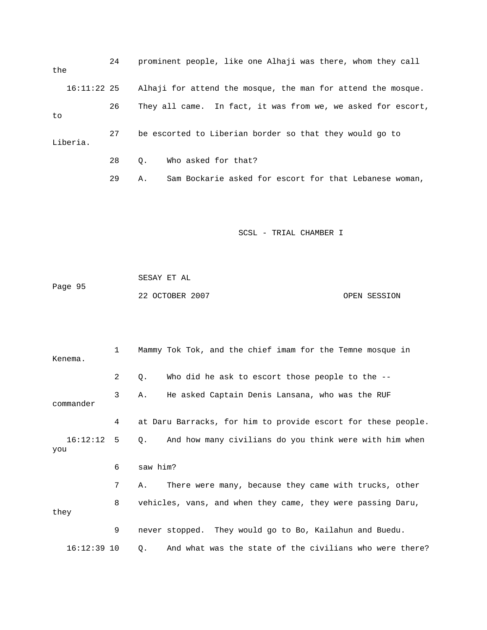| the |             | 24 | prominent people, like one Alhaji was there, whom they call  |
|-----|-------------|----|--------------------------------------------------------------|
|     | 16:11:22 25 |    | Alhaji for attend the mosque, the man for attend the mosque. |
| to  |             | 26 | They all came. In fact, it was from we, we asked for escort, |
|     | Liberia.    | 27 | be escorted to Liberian border so that they would go to      |
|     |             | 28 | Who asked for that?<br>0.                                    |

29 A. Sam Bockarie asked for escort for that Lebanese woman,

SCSL - TRIAL CHAMBER I

Page 95 22 OCTOBER 2007 CPEN SESSION SESAY ET AL

| Kenema.             | $\mathbf{1}$   | Mammy Tok Tok, and the chief imam for the Temne mosque in     |
|---------------------|----------------|---------------------------------------------------------------|
|                     | $\overline{2}$ | Who did he ask to escort those people to the $-$ -<br>Q.      |
| commander           | 3              | He asked Captain Denis Lansana, who was the RUF<br>Α.         |
|                     | 4              | at Daru Barracks, for him to provide escort for these people. |
| $16:12:12$ 5<br>you |                | And how many civilians do you think were with him when<br>Q.  |
|                     | 6              | saw him?                                                      |
|                     | 7              | There were many, because they came with trucks, other<br>Α.   |
| they                | 8              | vehicles, vans, and when they came, they were passing Daru,   |
|                     | 9              | never stopped. They would go to Bo, Kailahun and Buedu.       |
| $16:12:39$ 10       |                | And what was the state of the civilians who were there?<br>Q. |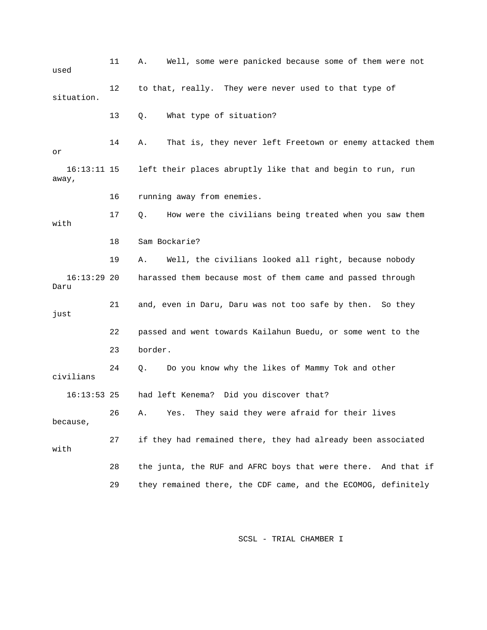11 A. Well, some were panicked because some of them were not 13 Q. What type of situation? 14 A. That is, they never left Freetown or enemy attacked them 16:13:11 15 left their places abruptly like that and begin to run, run 16 running away from enemies. 17 Q. How were the civilians being treated when you saw them with 18 Sam Bockarie? 19 A. Well, the civilians looked all right, because nobody 16:13:29 20 harassed them because most of them came and passed through 21 and, even in Daru, Daru was not too safe by then. So they 22 passed and went towards Kailahun Buedu, or some went to the 23 border. civilians had left Kenema? Did you discover that? 26 A. Yes. They said they were afraid for their lives 27 if they had remained there, they had already been associated 28 the junta, the RUF and AFRC boys that were there. And that if 29 they remained there, the CDF came, and the ECOMOG, definitely used 12 to that, really. They were never used to that type of situation. or away, Daru just 24 Q. Do you know why the likes of Mammy Tok and other  $16:13:53$  25 because, with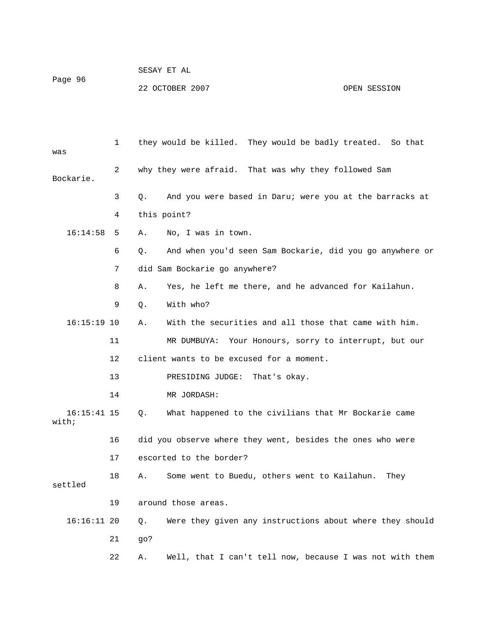|         | SESAY EI AL     |              |
|---------|-----------------|--------------|
| Paqe 96 |                 |              |
|         | 22 OCTOBER 2007 | OPEN SESSION |

 $CDQAY$   $\overline{DB}$   $\overline{ST}$ 

 1 they would be killed. They would be badly treated. So that was 2 why they were afraid. That was why they followed Sam 3 Q. And you were based in Daru; were you at the barracks at 4 this point? n you'd seen Sam Bockarie, did you go anywhere or 6 Q. And whe 7 did Sam Bockarie go anywhere? 11 MR DUMBUYA: Your Honours, sorry to interrupt, but our 16:15:41 15 Q. What happened to the civilians that Mr Bockarie came 16 did you observe where they went, besides the ones who were 17 escorted to the border? settled Q. Were they given any instructions about where they should Bockarie. 16:14:58 5 A. No, I was in town. 8 A. Yes, he left me there, and he advanced for Kailahun. 9 Q. With who? 16:15:19 10 A. With the securities and all those that came with him. 12 client wants to be excused for a moment. 13 PRESIDING JUDGE: That's okay. 14 MR JORDASH: with; 18 A. Some went to Buedu, others went to Kailahun. They 19 around those areas. 16:16: 21 go? 22 A. Well, that I can't tell now, because I was not with them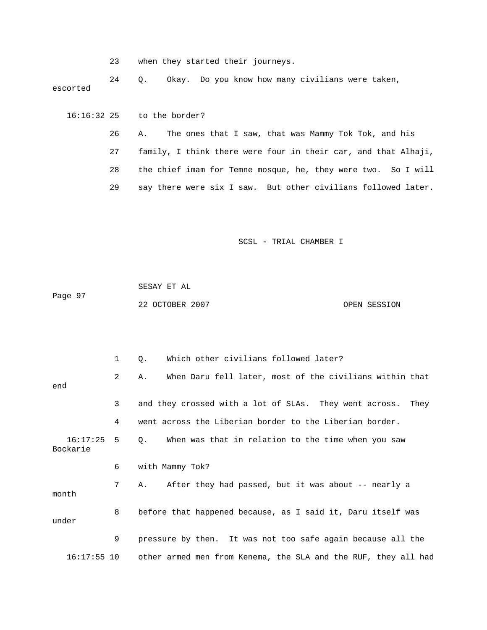|  |  |  |  |  | when they started their journeys. |
|--|--|--|--|--|-----------------------------------|
|--|--|--|--|--|-----------------------------------|

 24 Q. Okay. Do you know how many civilians were taken, escorted

 26 A. The ones that I saw, that was Mammy Tok Tok, and his 27 family, I think there were four in their car, and that Alhaji, 28 the chief imam for Temne mosque, he, they were two. So I will 16:16:32 25 to the border? 29 say there were six I saw. But other civilians followed later.

SCSL - TRIAL CHAMBER I

 SESAY ET AL Page 97 22 OCTOBER 2007 CPEN SESSION

|                          | 1 | Which other civilians followed later?<br>Q.                    |
|--------------------------|---|----------------------------------------------------------------|
| end                      | 2 | When Daru fell later, most of the civilians within that<br>Α.  |
|                          | 3 | and they crossed with a lot of SLAs. They went across.<br>They |
|                          | 4 | went across the Liberian border to the Liberian border.        |
| $16:17:25$ 5<br>Bockarie |   | When was that in relation to the time when you saw<br>0.       |
|                          | 6 | with Mammy Tok?                                                |
| month                    | 7 | After they had passed, but it was about -- nearly a<br>Α.      |
| under                    | 8 | before that happened because, as I said it, Daru itself was    |
|                          | 9 | pressure by then. It was not too safe again because all the    |
| $16:17:55$ 10            |   | other armed men from Kenema, the SLA and the RUF, they all had |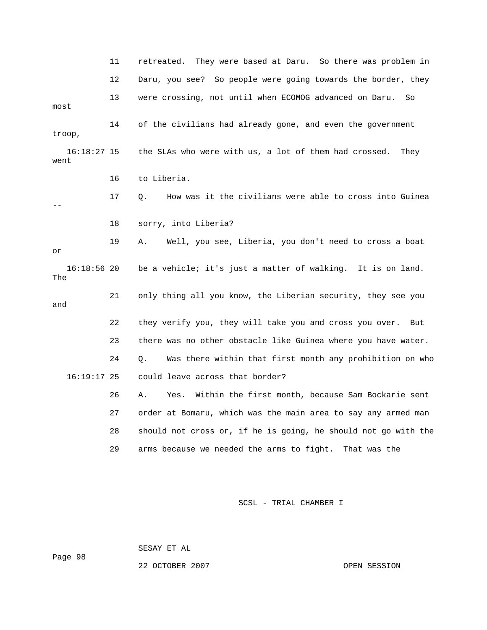11 retreated. They were based at Daru. So there was problem in 12 Daru, you see? So people were going towards the border, they 13 were crossing, not until when ECOMOG advanced on Daru. So most 17 Q. How was it the civilians were able to cross into Guinea 18 sorry, into Liberia? 19 A. Well, you see, Liberia, you don't need to cross a boat 16:18:56 20 be a vehicle; it's just a matter of walking. It is on land. 21 only thing all you know, the Liberian security, they see you 22 they verify you, they will take you and cross you over. But 27 order at Bomaru, which was the main area to say any armed man 28 should not cross or, if he is going, he should not go with the 14 of the civilians had already gone, and even the government troop, 16:18:27 15 the SLAs who were with us, a lot of them had crossed. They went 16 to Liberia. - or The and 23 there was no other obstacle like Guinea where you have water. 24 Q. Was there within that first month any prohibition on who 16:19:17 25 could leave across that border? 26 A. Yes. Within the first month, because Sam Bockarie sent 29 arms because we needed the arms to fight. That was the

SCSL - TRIAL CHAMBER I

SESAY ET AL

Page 98

22 OCTOBER 2007 OPEN SESSION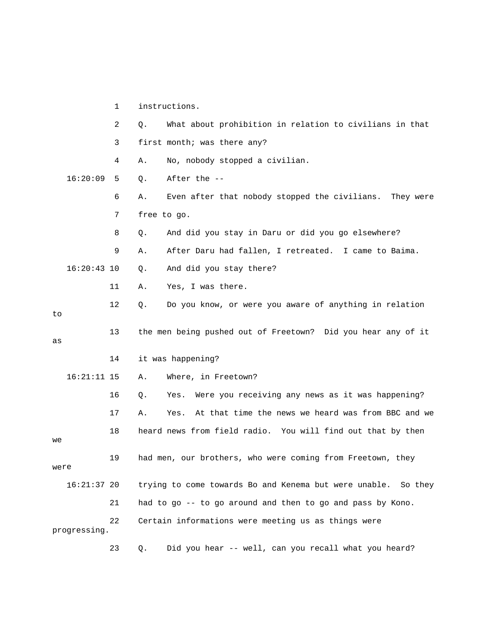1 instructions. 2 Q. What about prohibition in relation to civilians in that 3 first month; was there any? 4 A. No, nobody stopped a civilian. 6 A. Even after that nobody stopped the civilians. They were 7 free to go. 9 A. After Daru had fallen, I retreated. I came to Baima. 16:20:43 10 Q. And did you stay there? 12 Q. Do you know, or were you aware of anything in relation 13 the men being pushed out of Freetown? Did you hear any of it 14 it was happening? 16 Q. Yes. Were you receiving any news as it was happening? 17 A. Yes. At that time the news we heard was from BBC and we 18 heard news from field radio. You will find out that by then were trying to come towards Bo and Kenema but were unable. So they 22 Certain informations were meeting us as things were 16:20:09 5 Q. After the -- 8 Q. And did you stay in Daru or did you go elsewhere? 11 A. Yes, I was there. to as 16:21:11 15 A. Where, in Freetown? we 19 had men, our brothers, who were coming from Freetown, they  $16:21:37$  20 21 had to go -- to go around and then to go and pass by Kono. progressing. 23 Q. Did you hear -- well, can you recall what you heard?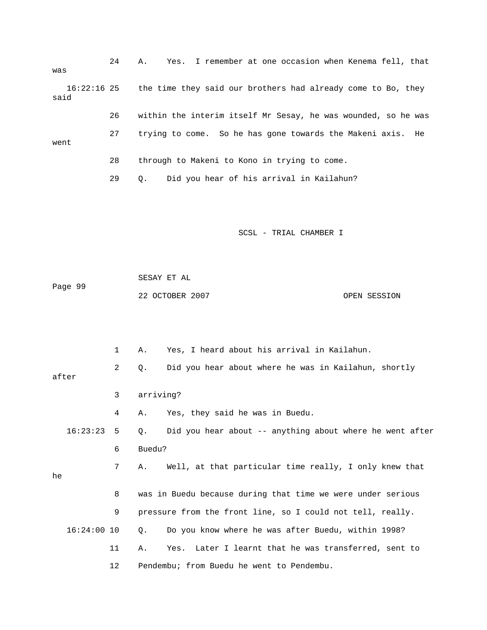24 A. Yes. I remember at one occasion when Kenema fe ll, that was 26 within the interim itself Mr Sesay, he was wounded, so he was 16:22:16 25 the time they said our brothers had already come to Bo, they said 27 trying to come. So he has gone towards the Makeni axis. He went 28 through to Makeni to Kono in trying to come. 29 Q. Did you hear of his arrival in Kailahun?

SCSL - TRIAL CHAMBER I

Page 99 22 OCTOBER 2007 OPEN SESSION SESAY ET AL

 1 A. Yes, I heard about his arrival in Kailahun. 2 Q. Did you hear about where he was in Kailahun, shortly after 16:23:23 5 Q. Did you hear about -- anything about where he went after 7 A. Well, at that particular time really, I only knew that 8 was in Buedu because during that time we were under serious 16:24:00 10 Q. Do you know where he was after Buedu, within 1998? 11 A. Yes. Later I learnt that he was transferred, sent to 12 Pendembu; from Buedu he went to Pendembu. 3 arriving? 4 A. Yes, they said he was in Buedu. 6 Buedu? he 9 pressure from the front line, so I could not tell, really.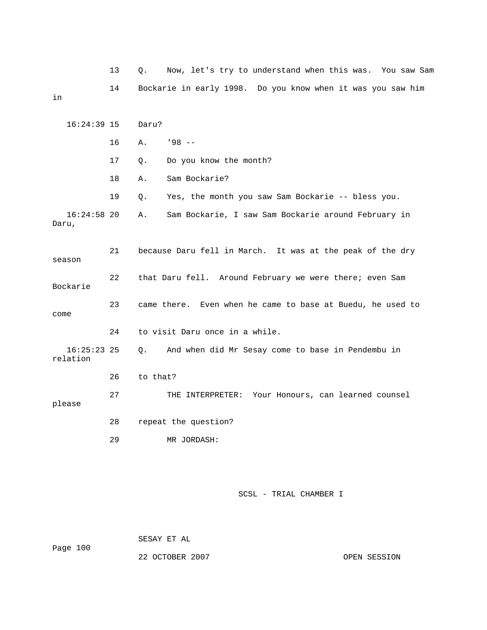|                           | 13 | Now, let's try to understand when this was. You saw Sam<br>Q. |
|---------------------------|----|---------------------------------------------------------------|
| in                        | 14 | Bockarie in early 1998. Do you know when it was you saw him   |
| $16:24:39$ 15             |    | Daru?                                                         |
|                           | 16 | $198 - -$<br>Α.                                               |
|                           | 17 | Do you know the month?<br>Q.                                  |
|                           | 18 | Sam Bockarie?<br>Α.                                           |
|                           | 19 | Yes, the month you saw Sam Bockarie -- bless you.<br>Q.       |
| $16:24:58$ 20<br>Daru,    |    | Sam Bockarie, I saw Sam Bockarie around February in<br>Α.     |
| season                    | 21 | because Daru fell in March. It was at the peak of the dry     |
| Bockarie                  | 22 | that Daru fell. Around February we were there; even Sam       |
| come                      | 23 | came there. Even when he came to base at Buedu, he used to    |
|                           | 24 | to visit Daru once in a while.                                |
| $16:25:23$ 25<br>relation |    | And when did Mr Sesay come to base in Pendembu in<br>О.       |
|                           | 26 | to that?                                                      |
| please                    | 27 | THE INTERPRETER: Your Honours, can learned counsel            |
|                           | 28 | repeat the question?                                          |
|                           | 29 | MR JORDASH:                                                   |

 SESAY ET AL ge 100 Pa 22 OCTOBER 2007

OPEN SESSION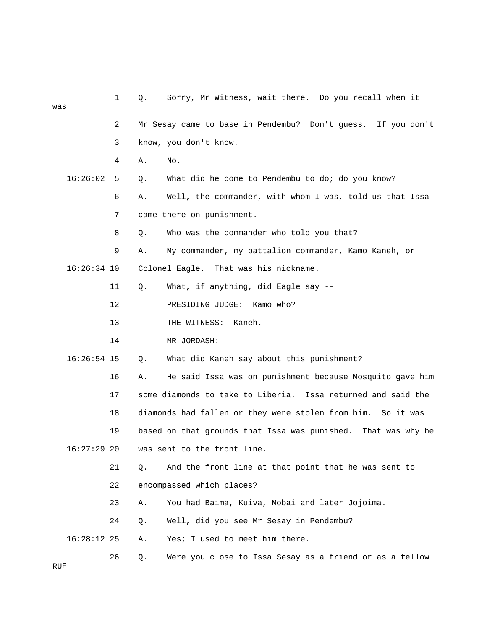| was |               | 1  | Q. | Sorry, Mr Witness, wait there. Do you recall when it            |
|-----|---------------|----|----|-----------------------------------------------------------------|
|     |               | 2  |    | Mr Sesay came to base in Pendembu? Don't guess. If you don't    |
|     |               | 3  |    | know, you don't know.                                           |
|     |               | 4  | Α. | No.                                                             |
|     | 16:26:02      | 5  | Q. | What did he come to Pendembu to do; do you know?                |
|     |               | 6  | Α. | Well, the commander, with whom I was, told us that Issa         |
|     |               | 7  |    | came there on punishment.                                       |
|     |               | 8  | Q. | Who was the commander who told you that?                        |
|     |               | 9  | Α. | My commander, my battalion commander, Kamo Kaneh, or            |
|     | $16:26:34$ 10 |    |    | Colonel Eagle. That was his nickname.                           |
|     |               | 11 | Q. | What, if anything, did Eagle say --                             |
|     |               | 12 |    | PRESIDING JUDGE:<br>Kamo who?                                   |
|     |               | 13 |    | THE WITNESS:<br>Kaneh.                                          |
|     |               | 14 |    | MR JORDASH:                                                     |
|     | $16:26:54$ 15 |    | Q. | What did Kaneh say about this punishment?                       |
|     |               | 16 | Α. | He said Issa was on punishment because Mosquito gave him        |
|     |               | 17 |    | some diamonds to take to Liberia.<br>Issa returned and said the |
|     |               | 18 |    | diamonds had fallen or they were stolen from him. So it was     |
|     |               | 19 |    | based on that grounds that Issa was punished. That was why he   |
|     | 16:27:29 20   |    |    | was sent to the front line                                      |
|     |               | 21 | Q. | And the front line at that point that he was sent to            |
|     |               | 22 |    | encompassed which places?                                       |
|     |               | 23 | Α. | You had Baima, Kuiva, Mobai and later Jojoima.                  |
|     |               | 24 | Q. | Well, did you see Mr Sesay in Pendembu?                         |
|     | $16:28:12$ 25 |    | Α. | Yes; I used to meet him there.                                  |
|     |               | 26 | Q. | Were you close to Issa Sesay as a friend or as a fellow         |

RUF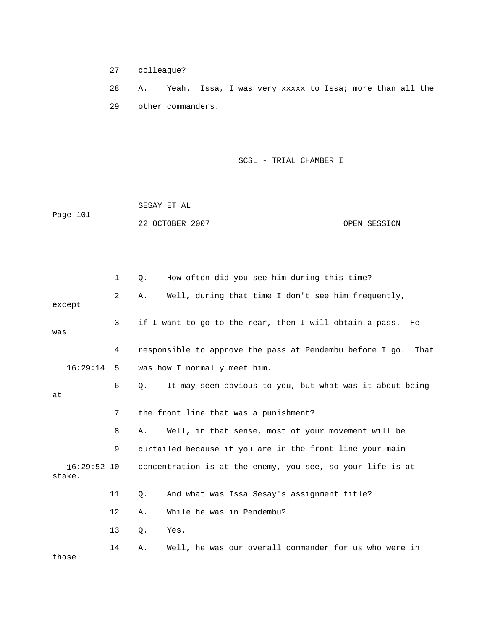27 colleague?

28 A. Yeah. Issa, I was very xxxxx to Issa; more than all the 29 other commanders.

| Page 101 | SESAY ET AL     |              |
|----------|-----------------|--------------|
|          | 22 OCTOBER 2007 | OPEN SESSION |

|                         | 1                 | How often did you see him during this time?<br>Q.             |
|-------------------------|-------------------|---------------------------------------------------------------|
| except                  | 2                 | Well, during that time I don't see him frequently,<br>Α.      |
| was                     | 3                 | if I want to go to the rear, then I will obtain a pass.<br>He |
|                         | 4                 | responsible to approve the pass at Pendembu before I go. That |
| 16:29:14                | 5                 | was how I normally meet him.                                  |
| at                      | 6                 | It may seem obvious to you, but what was it about being<br>0. |
|                         | 7                 | the front line that was a punishment?                         |
|                         | 8                 | Well, in that sense, most of your movement will be<br>Α.      |
|                         | 9                 | curtailed because if you are in the front line your main      |
| $16:29:52$ 10<br>stake. |                   | concentration is at the enemy, you see, so your life is at    |
|                         | 11                | And what was Issa Sesay's assignment title?<br>Q.             |
|                         | $12 \overline{ }$ | While he was in Pendembu?<br>Α.                               |
|                         | 13                | Q.<br>Yes.                                                    |
| those                   | 14                | Well, he was our overall commander for us who were in<br>Α.   |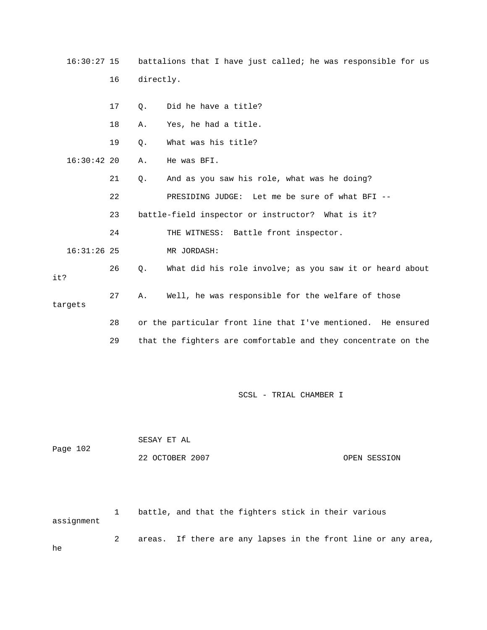16:30:27 15 battalions that I have just called; he was responsible for us 16 directly.

|               | 17 | $\circ$ . | Did he have a title?                                          |
|---------------|----|-----------|---------------------------------------------------------------|
|               | 18 | Α.        | Yes, he had a title.                                          |
|               | 19 | Ο.        | What was his title?                                           |
| $16:30:42$ 20 |    | Α.        | He was BFI.                                                   |
|               | 21 | $Q$ .     | And as you saw his role, what was he doing?                   |
|               | 22 |           | PRESIDING JUDGE: Let me be sure of what BFI --                |
|               | 23 |           | battle-field inspector or instructor? What is it?             |
|               | 24 |           | THE WITNESS: Battle front inspector.                          |
| $16:31:26$ 25 |    |           | MR JORDASH:                                                   |
| it?           | 26 | $Q$ .     | What did his role involve; as you saw it or heard about       |
| targets       | 27 | Α.        | Well, he was responsible for the welfare of those             |
|               | 28 |           | or the particular front line that I've mentioned. He ensured  |
|               | 29 |           | that the fighters are comfortable and they concentrate on the |

SCSL - TRIAL CHAMBER I

|          | SESAY ET AL     |              |
|----------|-----------------|--------------|
| Page 102 |                 |              |
|          | 22 OCTOBER 2007 | OPEN SESSION |

 2 areas. If there are any lapses in the front line or any area, 1 battle, and that the fighters stick in their various assignment

he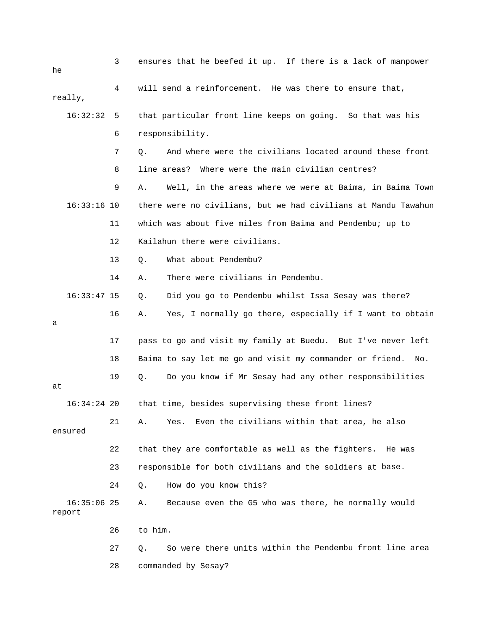| he                      | 3  | ensures that he beefed it up. If there is a lack of manpower    |
|-------------------------|----|-----------------------------------------------------------------|
| really,                 | 4  | will send a reinforcement. He was there to ensure that,         |
| 16:32:32                | -5 | that particular front line keeps on going. So that was his      |
|                         | 6  | responsibility.                                                 |
|                         | 7  | And where were the civilians located around these front<br>Q.   |
|                         | 8  | line areas? Where were the main civilian centres?               |
|                         | 9  | Well, in the areas where we were at Baima, in Baima Town<br>Α.  |
| $16:33:16$ 10           |    | there were no civilians, but we had civilians at Mandu Tawahun  |
|                         | 11 | which was about five miles from Baima and Pendembu; up to       |
|                         | 12 | Kailahun there were civilians.                                  |
|                         | 13 | What about Pendembu?<br>$Q$ .                                   |
|                         | 14 | There were civilians in Pendembu.<br>Α.                         |
| $16:33:47$ 15           |    | Did you go to Pendembu whilst Issa Sesay was there?<br>Q.       |
| а                       | 16 | Yes, I normally go there, especially if I want to obtain<br>Α.  |
|                         | 17 | pass to go and visit my family at Buedu. But I've never left    |
|                         | 18 | Baima to say let me go and visit my commander or friend.<br>No. |
| at                      | 19 | Do you know if Mr Sesay had any other responsibilities<br>Q.    |
| $16:34:24$ 20           |    | that time, besides supervising these front lines?               |
| ensured                 | 21 | Even the civilians within that area, he also<br>Α.<br>Yes.      |
|                         | 22 | that they are comfortable as well as the fighters.<br>He was    |
|                         | 23 | responsible for both civilians and the soldiers at base.        |
|                         | 24 | How do you know this?<br>Q.                                     |
| $16:35:06$ 25<br>report |    | Because even the G5 who was there, he normally would<br>Α.      |
|                         | 26 | to him.                                                         |
|                         | 27 | So were there units within the Pendembu front line area<br>Q.   |
|                         | 28 | commanded by Sesay?                                             |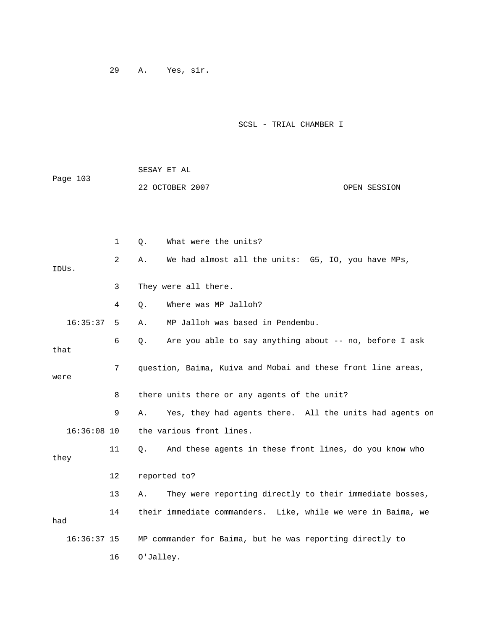29 A. Yes, sir.

| Page 103 | SESAY ET AL     |              |
|----------|-----------------|--------------|
|          | 22 OCTOBER 2007 | OPEN SESSION |

|      |               | 1              | Q.        | What were the units?                                         |
|------|---------------|----------------|-----------|--------------------------------------------------------------|
|      | IDUs.         | $\overline{2}$ | Α.        | We had almost all the units: G5, IO, you have MPs,           |
|      |               | 3              |           | They were all there.                                         |
|      |               | 4              | Q.        | Where was MP Jalloh?                                         |
|      | 16:35:37      | 5              | Α.        | MP Jalloh was based in Pendembu.                             |
| that |               | 6              | Q.        | Are you able to say anything about -- no, before I ask       |
| were |               | 7              |           | question, Baima, Kuiva and Mobai and these front line areas, |
|      |               | 8              |           | there units there or any agents of the unit?                 |
|      |               | 9              | Α.        | Yes, they had agents there. All the units had agents on      |
|      | $16:36:08$ 10 |                |           | the various front lines.                                     |
| they |               | 11             | $\circ$ . | And these agents in these front lines, do you know who       |
|      |               | 12             |           | reported to?                                                 |
|      |               | 13             | Α.        | They were reporting directly to their immediate bosses,      |
| had  |               | 14             |           | their immediate commanders. Like, while we were in Baima, we |
|      | $16:36:37$ 15 |                |           | MP commander for Baima, but he was reporting directly to     |
|      |               | 16             | O'Jalley. |                                                              |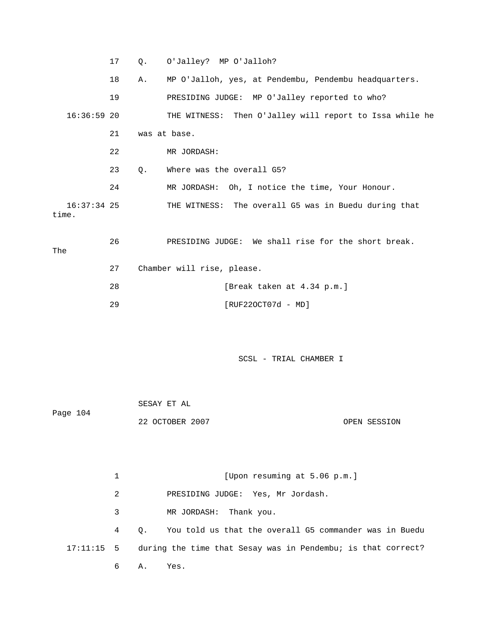|       |               | 17 | Q. | O'Jalley? MP O'Jalloh?                                  |
|-------|---------------|----|----|---------------------------------------------------------|
|       |               | 18 | Α. | MP O'Jalloh, yes, at Pendembu, Pendembu headquarters.   |
|       |               | 19 |    | PRESIDING JUDGE: MP O'Jalley reported to who?           |
|       | $16:36:59$ 20 |    |    | THE WITNESS: Then O'Jalley will report to Issa while he |
|       |               | 21 |    | was at base.                                            |
|       |               | 22 |    | MR JORDASH:                                             |
|       |               | 23 | 0. | Where was the overall G5?                               |
|       |               | 24 |    | MR JORDASH: Oh, I notice the time, Your Honour.         |
| time. | 16:37:34 25   |    |    | THE WITNESS: The overall G5 was in Buedu during that    |
|       |               | 26 |    | We shall rise for the short break.<br>PRESIDING JUDGE:  |

The

| 27 | Chamber will rise, please. |
|----|----------------------------|
| 28 | [Break taken at 4.34 p.m.] |
| つの | $[RUF220CT07d - MD]$       |

| Page 104 | SESAY ET AL     |              |
|----------|-----------------|--------------|
|          | 22 OCTOBER 2007 | OPEN SESSION |

|            | [Upon resuming at 5.06 p.m.]                                            |
|------------|-------------------------------------------------------------------------|
| 2          | PRESIDING JUDGE: Yes, Mr Jordash.                                       |
| 3          | MR JORDASH: Thank you.                                                  |
| $4\degree$ | Q. You told us that the overall G5 commander was in Buedu               |
|            | 17:11:15 5 during the time that Sesay was in Pendembu; is that correct? |
| 6          | Yes.<br><b>A.</b>                                                       |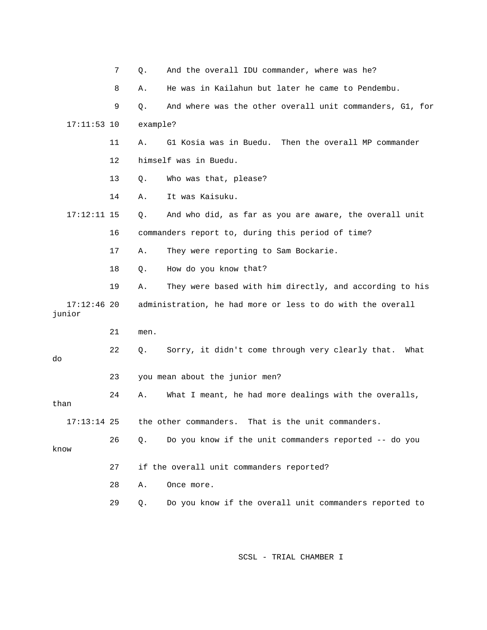|                         | 7  | Q.       | And the overall IDU commander, where was he?               |
|-------------------------|----|----------|------------------------------------------------------------|
|                         | 8  | Α.       | He was in Kailahun but later he came to Pendembu.          |
|                         | 9  | Q.       | And where was the other overall unit commanders, G1, for   |
| $17:11:53$ 10           |    | example? |                                                            |
|                         | 11 | Α.       | G1 Kosia was in Buedu.<br>Then the overall MP commander    |
|                         | 12 |          | himself was in Buedu.                                      |
|                         | 13 | Q.       | Who was that, please?                                      |
|                         | 14 | Α.       | It was Kaisuku.                                            |
| $17:12:11$ 15           |    | Q.       | And who did, as far as you are aware, the overall unit     |
|                         | 16 |          | commanders report to, during this period of time?          |
|                         | 17 | Α.       | They were reporting to Sam Bockarie.                       |
|                         | 18 | Q.       | How do you know that?                                      |
|                         | 19 | Α.       | They were based with him directly, and according to his    |
| $17:12:46$ 20<br>junior |    |          | administration, he had more or less to do with the overall |
|                         | 21 | men.     |                                                            |
| do                      | 22 | Q.       | Sorry, it didn't come through very clearly that.<br>What   |
|                         | 23 |          | you mean about the junior men?                             |
| than                    | 24 | Α.       | What I meant, he had more dealings with the overalls,      |
| $17:13:14$ 25           |    |          | the other commanders. That is the unit commanders.         |
| know                    | 26 | Q.       | Do you know if the unit commanders reported -- do you      |
|                         | 27 |          | if the overall unit commanders reported?                   |
|                         | 28 | Α.       | Once more.                                                 |
|                         | 29 | Q.       | Do you know if the overall unit commanders reported to     |
|                         |    |          |                                                            |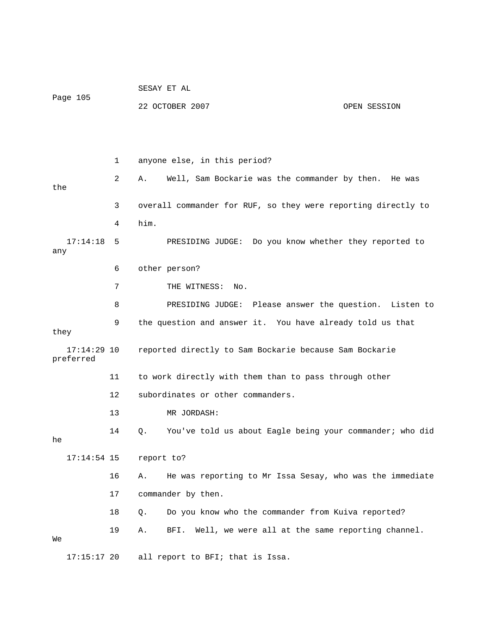| Page 105                   |    |            | SESAY ET AL                                                   |              |
|----------------------------|----|------------|---------------------------------------------------------------|--------------|
|                            |    |            | 22 OCTOBER 2007                                               | OPEN SESSION |
|                            |    |            |                                                               |              |
|                            |    |            |                                                               |              |
|                            | 1  |            | anyone else, in this period?                                  |              |
| the                        | 2  | А.         | Well, Sam Bockarie was the commander by then.                 | He was       |
| 3                          |    |            | overall commander for RUF, so they were reporting directly to |              |
|                            | 4  | him.       |                                                               |              |
| 17:14:18<br>any            | 5  |            | PRESIDING JUDGE: Do you know whether they reported to         |              |
|                            | 6  |            | other person?                                                 |              |
|                            | 7  |            | THE WITNESS: No.                                              |              |
|                            | 8  |            | PRESIDING JUDGE: Please answer the question.                  | Listen to    |
| they                       | 9  |            | the question and answer it. You have already told us that     |              |
| $17:14:29$ 10<br>preferred |    |            | reported directly to Sam Bockarie because Sam Bockarie        |              |
|                            | 11 |            | to work directly with them than to pass through other         |              |
|                            | 12 |            | subordinates or other commanders.                             |              |
|                            | 13 |            | MR JORDASH:                                                   |              |
| he                         | 14 | О.         | You've told us about Eagle being your commander; who did      |              |
| $17:14:54$ 15              |    | report to? |                                                               |              |
|                            | 16 | Α.         | He was reporting to Mr Issa Sesay, who was the immediate      |              |
|                            | 17 |            | commander by then.                                            |              |
|                            | 18 | $Q$ .      | Do you know who the commander from Kuiva reported?            |              |
| Wе                         | 19 | Α.         | Well, we were all at the same reporting channel.<br>BFI.      |              |
| $17:15:17$ 20              |    |            | all report to BFI; that is Issa.                              |              |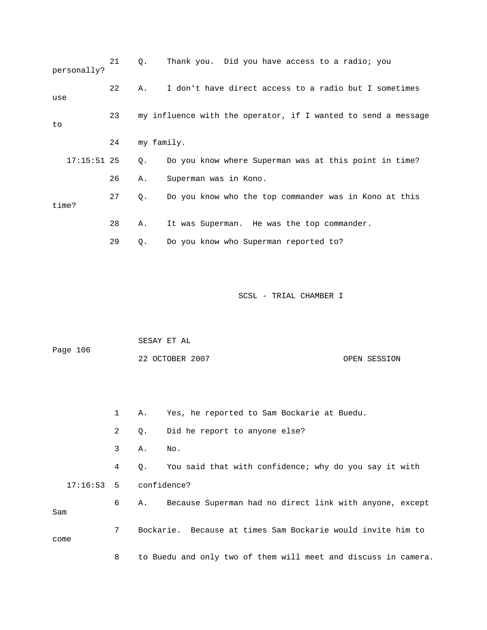| personally?   | 21 | Q.         | Thank you. Did you have access to a radio; you                |
|---------------|----|------------|---------------------------------------------------------------|
| use           | 22 | Α.         | I don't have direct access to a radio but I sometimes         |
| to            | 23 |            | my influence with the operator, if I wanted to send a message |
|               | 24 | my family. |                                                               |
| $17:15:51$ 25 |    | Q.         | Do you know where Superman was at this point in time?         |
|               | 26 | Α.         | Superman was in Kono.                                         |
| time?         | 27 | Q.         | Do you know who the top commander was in Kono at this         |
|               | 28 | Α.         | It was Superman. He was the top commander.                    |
|               | 29 | Q.         | Do you know who Superman reported to?                         |

|              |                |    | SESAY ET AL                                                 |
|--------------|----------------|----|-------------------------------------------------------------|
| Page 106     |                |    | 22 OCTOBER 2007<br>OPEN SESSION                             |
|              |                |    |                                                             |
|              |                |    |                                                             |
|              | $\mathbf{1}$   | Α. | Yes, he reported to Sam Bockarie at Buedu.                  |
|              | $\overline{2}$ | Q. | Did he report to anyone else?                               |
|              | 3              | Α. | No.                                                         |
|              | 4              | Q. | You said that with confidence; why do you say it with       |
| $17:16:53$ 5 |                |    | confidence?                                                 |
| Sam          | 6              | Α. | Because Superman had no direct link with anyone, except     |
| come         | 7              |    | Bockarie. Because at times Sam Bockarie would invite him to |

8 to Buedu and only two of them will meet and discuss in camera.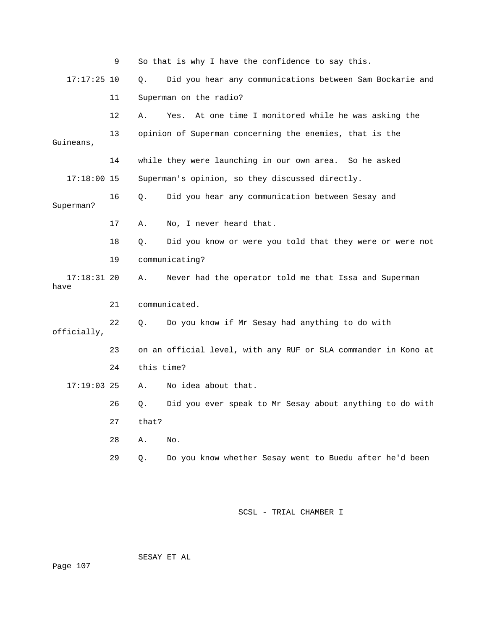|                       | 9  |            | So that is why I have the confidence to say this.              |
|-----------------------|----|------------|----------------------------------------------------------------|
| $17:17:25$ 10         |    | Q.         | Did you hear any communications between Sam Bockarie and       |
|                       | 11 |            | Superman on the radio?                                         |
|                       | 12 | Α.         | At one time I monitored while he was asking the<br>Yes.        |
| Guineans,             | 13 |            | opinion of Superman concerning the enemies, that is the        |
|                       | 14 |            | while they were launching in our own area. So he asked         |
| $17:18:00$ 15         |    |            | Superman's opinion, so they discussed directly.                |
| Superman?             | 16 | Q.         | Did you hear any communication between Sesay and               |
|                       | 17 | Α.         | No, I never heard that.                                        |
|                       | 18 | Q.         | Did you know or were you told that they were or were not       |
|                       | 19 |            | communicating?                                                 |
| $17:18:31$ 20<br>have |    | Α.         | Never had the operator told me that Issa and Superman          |
|                       | 21 |            | communicated.                                                  |
| officially,           | 22 | О.         | Do you know if Mr Sesay had anything to do with                |
|                       | 23 |            | on an official level, with any RUF or SLA commander in Kono at |
|                       | 24 | this time? |                                                                |
| $17:19:03$ 25         |    | Α.         | No idea about that.                                            |
|                       | 26 | Q.         | Did you ever speak to Mr Sesay about anything to do with       |
|                       | 27 | that?      |                                                                |
|                       | 28 | Α.         | No.                                                            |
|                       | 29 | Q.         | Do you know whether Sesay went to Buedu after he'd been        |

SESAY ET AL

ge 107 Pa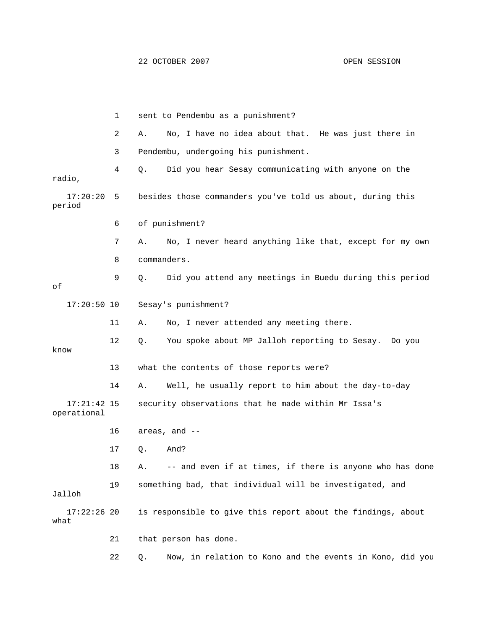2 A. No, I have no idea about that. He was just there in 3 Pendembu, undergoing his punishment. 4 Q. Did you hear Sesay communicating with anyone on the 17:20:20 5 besides those commanders you've told us about, during this 7 A. No, I never heard anything like that, except for my own 9 Q. Did you attend any meetings in Buedu during this period 17:20:50 10 Sesay's punishment? 11 A. No, I never attended any meeting there. 12 Q. You spoke about MP Jalloh reporting to Sesay. Do you 13 what the contents of those reports were? 14 A. Well, he usually report to him about the day-to-day 17:21:42 15 security observations that he made within Mr Issa's 16 areas, and -- 18 A. -- and even if at times, if there is anyone who has done 9 something bad, that individual will be investigated, and Jalloh 17:22:26 20 is responsible to give this report about the findings, about 1 sent to Pendembu as a punishment? radio, period 6 of punishment? 8 commanders. of know operational 17 Q. And? 1 what 21 that person has done.

22 Q. Now, in relation to Kono and the events in Kono, did you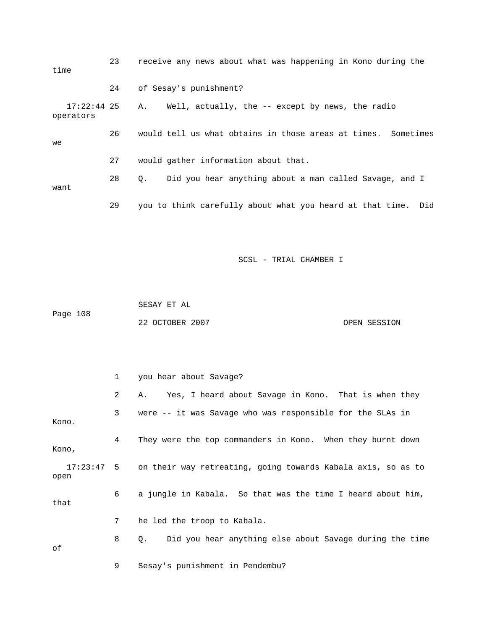| time                       | 23 | receive any news about what was happening in Kono during the        |
|----------------------------|----|---------------------------------------------------------------------|
|                            | 24 | of Sesay's punishment?                                              |
| $17:22:44$ 25<br>operators |    | Well, actually, the -- except by news, the radio<br>Α.              |
| we                         | 26 | would tell us what obtains in those areas at times. Sometimes       |
|                            | 27 | would gather information about that.                                |
| want                       | 28 | Did you hear anything about a man called Savage, and I<br>$\circ$ . |
|                            | 29 | you to think carefully about what you heard at that time.<br>Did    |

 SESAY ET AL Page 108 22 OCTOBER 2007 OPEN SESSION

2 A. Yes, I heard about Savage in Kono. That is when they 3 were -- it was Savage who was responsible for the SLAs in Kono. 4 They were the top commanders in Kono. When they burnt down 6 a jungle in Kabala. So that was the time I heard about him, 7 he led the troop to Kabala. 1 you hear about Savage? Kono, 17:23:47 5 on their way retreating, going towards Kabala axis, so as to open that 8 Q. Did you hear anything else about Savage during the time of

9 Sesay's punishment in Pendembu?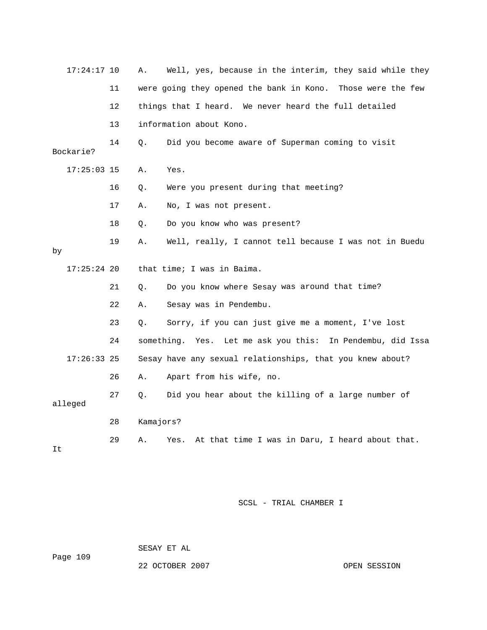| $17:24:17$ 10 |    | Α.        | Well, yes, because in the interim, they said while they       |
|---------------|----|-----------|---------------------------------------------------------------|
|               | 11 |           | were going they opened the bank in Kono. Those were the few   |
|               | 12 |           | things that I heard. We never heard the full detailed         |
|               | 13 |           | information about Kono.                                       |
| Bockarie?     | 14 | О.        | Did you become aware of Superman coming to visit              |
| $17:25:03$ 15 |    | Α.        | Yes.                                                          |
|               | 16 | Q.        | Were you present during that meeting?                         |
|               | 17 | Α.        | No, I was not present.                                        |
|               | 18 | Q.        | Do you know who was present?                                  |
| by            | 19 | Α.        | Well, really, I cannot tell because I was not in Buedu        |
|               |    |           |                                                               |
| $17:25:24$ 20 |    |           | that time; I was in Baima.                                    |
|               | 21 | Q.        | Do you know where Sesay was around that time?                 |
|               | 22 | Α.        | Sesay was in Pendembu.                                        |
|               | 23 | Q.        | Sorry, if you can just give me a moment, I've lost            |
|               | 24 |           | something. Yes.<br>Let me ask you this: In Pendembu, did Issa |
| $17:26:33$ 25 |    |           | Sesay have any sexual relationships, that you knew about?     |
|               | 26 | Α.        | Apart from his wife, no.                                      |
| alleged       | 27 | Q.        | Did you hear about the killing of a large number of           |
|               | 28 | Kamajors? |                                                               |

SESAY ET AL

ge 109 Pa

22 OCTOBER 2007 CONSIDER 2007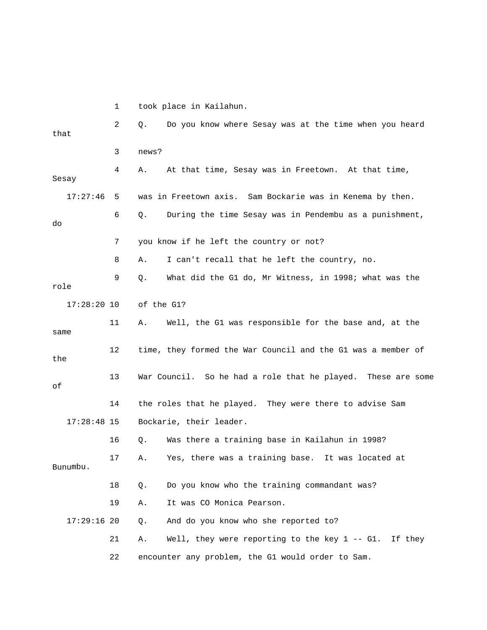1 took place in Kailahun.

| that          | 2  | Do you know where Sesay was at the time when you heard<br>Q.       |
|---------------|----|--------------------------------------------------------------------|
|               | 3  | news?                                                              |
| Sesay         | 4  | At that time, Sesay was in Freetown. At that time,<br>Α.           |
| 17:27:46      | 5  | was in Freetown axis. Sam Bockarie was in Kenema by then.          |
| do            | 6  | During the time Sesay was in Pendembu as a punishment,<br>Q.       |
|               | 7  | you know if he left the country or not?                            |
|               | 8  | I can't recall that he left the country, no.<br>Α.                 |
| role          | 9  | What did the G1 do, Mr Witness, in 1998; what was the<br>Q.        |
| $17:28:20$ 10 |    | of the G1?                                                         |
| same          | 11 | Well, the G1 was responsible for the base and, at the<br>Α.        |
| the           | 12 | time, they formed the War Council and the G1 was a member of       |
| оf            | 13 | War Council. So he had a role that he played. These are some       |
|               | 14 | the roles that he played. They were there to advise Sam            |
| $17:28:48$ 15 |    | Bockarie, their leader.                                            |
|               | 16 | Was there a training base in Kailahun in 1998?<br>Q.               |
| Bunumbu.      | 17 | Yes, there was a training base. It was located at<br>Α.            |
|               | 18 | Do you know who the training commandant was?<br>Q.                 |
|               | 19 | It was CO Monica Pearson.<br>Α.                                    |
| $17:29:16$ 20 |    | And do you know who she reported to?<br>Q.                         |
|               | 21 | Well, they were reporting to the key $1 - - G1$ .<br>If they<br>Α. |
|               | 22 | encounter any problem, the G1 would order to Sam.                  |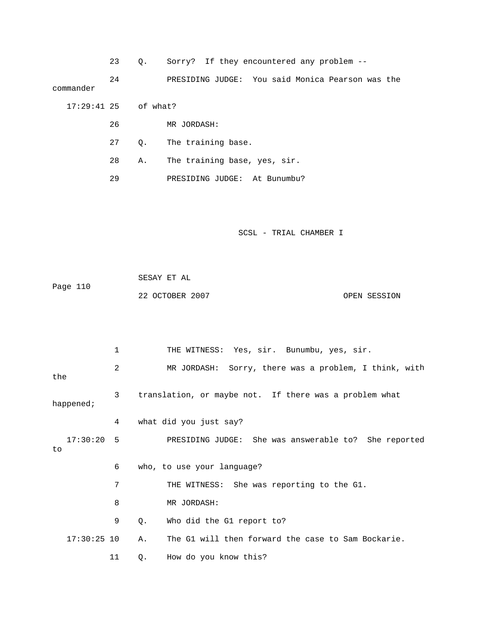23 Q. Sorry? If they encountered any problem --

 24 PRESIDING JUDGE: You said Monica Pearson was the commander

17:29:41 25 of what?

- 26 MR JORDASH:
- 27 Q. The training base.
- 28 A. The training base, yes, sir.
- 29 PRESIDING JUDGE: At Bunumbu?

| Page 110 | SESAY ET AL     |              |
|----------|-----------------|--------------|
|          | 22 OCTOBER 2007 | OPEN SESSION |

|                    | 1  | THE WITNESS: Yes, sir. Bunumbu, yes, sir.                |
|--------------------|----|----------------------------------------------------------|
| the                | 2  | MR JORDASH: Sorry, there was a problem, I think, with    |
| happened;          | 3  | translation, or maybe not. If there was a problem what   |
|                    | 4  | what did you just say?                                   |
| $17:30:20$ 5<br>to |    | PRESIDING JUDGE: She was answerable to? She reported     |
|                    | 6  | who, to use your language?                               |
|                    | 7  | THE WITNESS: She was reporting to the G1.                |
|                    | 8  | MR JORDASH:                                              |
|                    | 9  | Who did the G1 report to?<br>Q.                          |
| $17:30:25$ 10      |    | The G1 will then forward the case to Sam Bockarie.<br>Α. |
|                    | 11 | How do you know this?<br>Q.                              |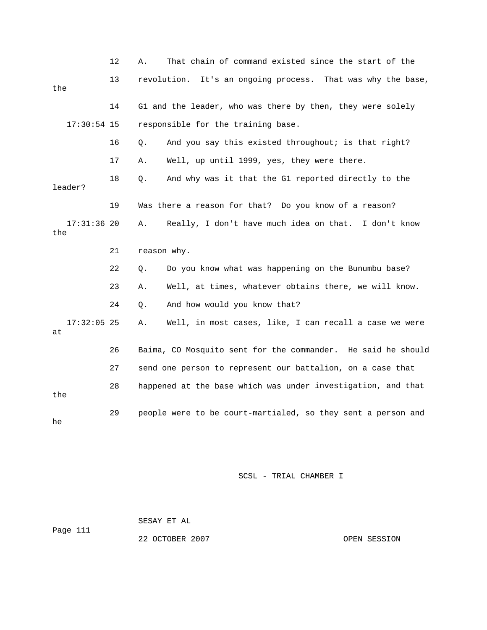|                      | 12 | Α.                                                           | That chain of command existed since the start of the         |
|----------------------|----|--------------------------------------------------------------|--------------------------------------------------------------|
| the                  | 13 |                                                              | revolution. It's an ongoing process. That was why the base,  |
|                      | 14 |                                                              | G1 and the leader, who was there by then, they were solely   |
| $17:30:54$ 15        |    | responsible for the training base.                           |                                                              |
|                      | 16 | Q.                                                           | And you say this existed throughout; is that right?          |
|                      | 17 | Α.                                                           | Well, up until 1999, yes, they were there.                   |
| leader?              | 18 | Q.                                                           | And why was it that the G1 reported directly to the          |
|                      | 19 |                                                              | Was there a reason for that? Do you know of a reason?        |
| $17:31:36$ 20<br>the |    | Α.                                                           | Really, I don't have much idea on that. I don't know         |
|                      | 21 |                                                              | reason why.                                                  |
|                      | 22 | Q.                                                           | Do you know what was happening on the Bunumbu base?          |
|                      | 23 | Α.                                                           | Well, at times, whatever obtains there, we will know.        |
|                      | 24 | Q.                                                           | And how would you know that?                                 |
| $17:32:05$ 25<br>at  |    | Α.                                                           | Well, in most cases, like, I can recall a case we were       |
|                      | 26 |                                                              | Baima, CO Mosquito sent for the commander. He said he should |
|                      | 27 |                                                              | send one person to represent our battalion, on a case that   |
| the                  | 28 | happened at the base which was under investigation, and that |                                                              |
| he                   | 29 | people were to be court-martialed, so they sent a person and |                                                              |

 SESAY ET AL ge 111 22 OCTOBER 2007 CPEN SESSION Pa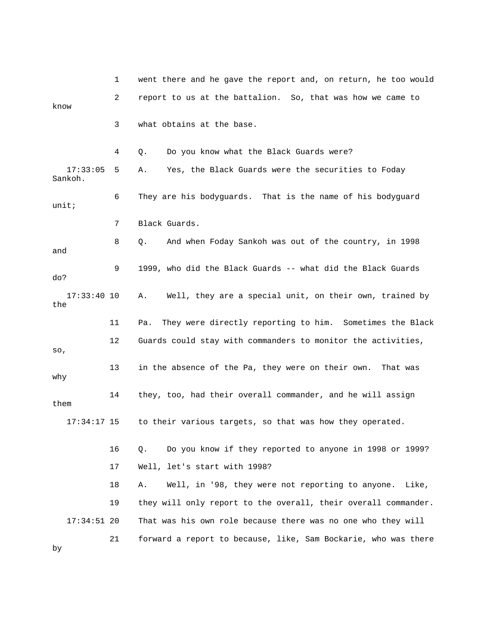1 went there and he gave the report and, on return, he too would 2 report to us at the battalion. So, that was how we came to 3 what obtains at the base. 17:33:05 5 A. Yes, the Black Guards were the securities to Foday 6 They are his bodyguards. That is the name of his bodyguard 7 Black Guards. 8 Q. And when Foday Sankoh was out of the country, in 1998 9 1999, who did the Black Guards -- what did the Black Guards 17:33:40 10 A. Well, they are a special unit, on their own, trained by 11 Pa. They were directly reporting to him. Sometimes the Black 12 Guards could stay with commanders to monitor the activities, 13 in the absence of the Pa, they were on their own. That was 14 they, too, had their overall commander, and he will assign 17 Well, let's start with 1998? 18 A. Well, in '98, they were not reporting to anyone. Like, 19 they will only report to the overall, their overall commander. 17:34:51 20 That was his own role because there was no one who they will 21 forward a report to because, like, Sam Bockarie, who was there know 4 Q. Do you know what the Black Guards were? Sankoh. unit; and do? the so, why them 17:34:17 15 to their various targets, so that was how they operated. 16 Q. Do you know if they reported to anyone in 1998 or 1999? by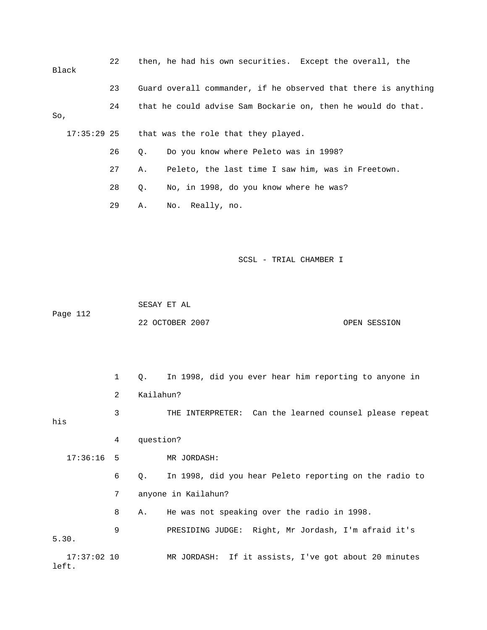| Black | 22 |    | then, he had his own securities. Except the overall, the       |
|-------|----|----|----------------------------------------------------------------|
|       | 23 |    | Guard overall commander, if he observed that there is anything |
| So,   | 24 |    | that he could advise Sam Bockarie on, then he would do that.   |
|       |    |    | 17:35:29 25 that was the role that they played.                |
|       | 26 | О. | Do you know where Peleto was in 1998?                          |
|       | 27 | Α. | Peleto, the last time I saw him, was in Freetown.              |
|       | 28 | Q. | No, in 1998, do you know where he was?                         |
|       | 29 | Α. | No. Really, no.                                                |
|       |    |    |                                                                |

SCSL - TRIAL CHAMBER I

 SESAY ET AL Page 112

22 OCTOBER 2007 CPEN SESSION

 3 THE INTERPRETER: Can the learned counsel please repeat his 4 question? 17:36:16 5 MR JORDASH: 998, did you hear Peleto reporting on the radio to 6 Q. In 1 7 anyone in Kailahun? 8 A. He was not speaking over the radio in 1998. GE: Right, Mr Jordash, I'm afraid it's 9 PRESIDING JUD 1 Q. In 1998, did you ever hear him reporting to anyone in 2 Kailahun? 5.30. 17:37:02 10 MR JORDASH: If it assists, I've got about 20 minutes left.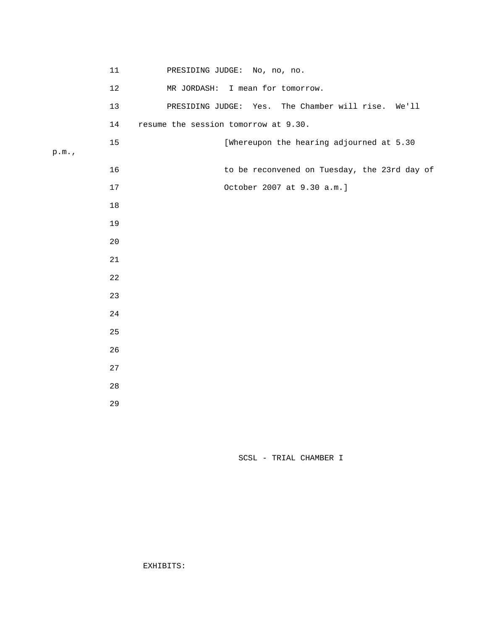|      | $11\,$      | PRESIDING JUDGE: No, no, no.                       |  |  |  |  |  |  |
|------|-------------|----------------------------------------------------|--|--|--|--|--|--|
|      | $12\,$      | MR JORDASH: I mean for tomorrow.                   |  |  |  |  |  |  |
|      | 13          | PRESIDING JUDGE: Yes. The Chamber will rise. We'll |  |  |  |  |  |  |
|      | 14          | resume the session tomorrow at 9.30.               |  |  |  |  |  |  |
| p.m. | $15$        | [Whereupon the hearing adjourned at 5.30           |  |  |  |  |  |  |
|      |             |                                                    |  |  |  |  |  |  |
|      | 16          | to be reconvened on Tuesday, the 23rd day of       |  |  |  |  |  |  |
|      | $17$        | October 2007 at 9.30 a.m.]                         |  |  |  |  |  |  |
|      | 18          |                                                    |  |  |  |  |  |  |
|      | 19          |                                                    |  |  |  |  |  |  |
|      | 20          |                                                    |  |  |  |  |  |  |
|      | $2\sqrt{1}$ |                                                    |  |  |  |  |  |  |
|      | 22          |                                                    |  |  |  |  |  |  |
|      | 23          |                                                    |  |  |  |  |  |  |
|      | 24          |                                                    |  |  |  |  |  |  |
|      | 25          |                                                    |  |  |  |  |  |  |
|      | 26          |                                                    |  |  |  |  |  |  |
|      | 27          |                                                    |  |  |  |  |  |  |
|      | 28          |                                                    |  |  |  |  |  |  |
|      | 29          |                                                    |  |  |  |  |  |  |

SCSL - TRIAL CHAMBER I